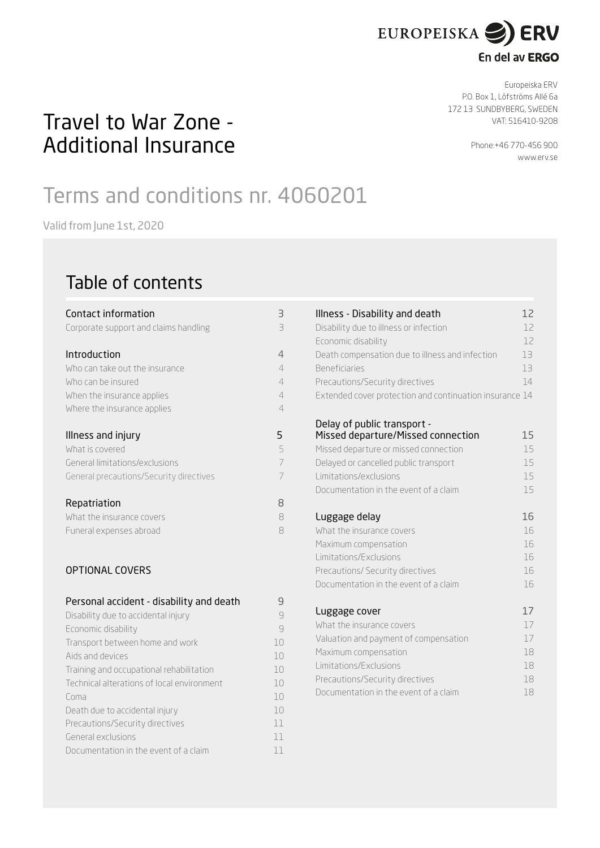

## En del av ERGO

Europeiska ERV P.O. Box 1, Löfströms Allé 6a 172 13 SUNDBYBERG, SWEDEN VAT: 516410-9208

> Phone:+46 770-456 900 [www.erv.s](http://www.erv.dk)e

## Travel to War Zone - Additional Insurance

# Terms and conditions nr. 4060201

Valid from June 1st, 2020

## Table of contents

| Contact information                      | 3              |
|------------------------------------------|----------------|
| Corporate support and claims handling    | $\exists$      |
| Introduction                             | 4              |
| Who can take out the insurance           | $\overline{4}$ |
| Who can be insured                       | $\overline{4}$ |
| When the insurance applies               | 4              |
| Where the insurance applies              | 4              |
| Illness and injury                       | 5.             |
| What is covered                          | 5              |
| General limitations/exclusions           | 7              |
| General precautions/Security directives  | 7              |
| Repatriation                             | 8              |
| What the insurance covers                | 8              |
| Funeral expenses abroad                  | 8              |
| <b>OPTIONAL COVERS</b>                   |                |
| Personal accident - disability and death | 9              |
| Disability due to accidental injury      | 9              |
| Economic disability                      | $\mathcal{Q}$  |
| Transport between home and work          | 10             |
| Aids and devices                         | 10             |

Training and occupational rehabilitation 10 Technical alterations of local environment 10 Coma de la componentación de la componentación de la componentación de la componentación de la componentación de la componentación de la componentación de la componentación de la componentación de la componentación de la c Death due to accidental injury 10 Precautions/Security directives 11 General exclusions and the contract of the contract of the contract of the contract of the contract of the contract of the contract of the contract of the contract of the contract of the contract of the contract of the con Documentation in the event of a claim 11

| Illness - Disability and death<br>Disability due to illness or infection<br>Economic disability<br>Death compensation due to illness and infection<br><b>Beneficiaries</b><br>Precautions/Security directives<br>Extended cover protection and continuation insurance 14 | 12<br>12<br>12<br>13<br>13<br>14 |
|--------------------------------------------------------------------------------------------------------------------------------------------------------------------------------------------------------------------------------------------------------------------------|----------------------------------|
| Delay of public transport -<br>Missed departure/Missed connection<br>Missed departure or missed connection<br>Delayed or cancelled public transport<br>Limitations/exclusions<br>Documentation in the event of a claim                                                   | 15<br>15<br>15<br>15<br>15       |
| Luggage delay                                                                                                                                                                                                                                                            | 16                               |
| What the insurance covers                                                                                                                                                                                                                                                | 16                               |
| Maximum compensation                                                                                                                                                                                                                                                     | 16                               |
| Limitations/Exclusions                                                                                                                                                                                                                                                   | 16                               |
| Precautions/ Security directives                                                                                                                                                                                                                                         | 16                               |
| Documentation in the event of a claim                                                                                                                                                                                                                                    | 16                               |
| Luggage cover                                                                                                                                                                                                                                                            | 17                               |
| What the insurance covers                                                                                                                                                                                                                                                | 17                               |
| Valuation and payment of compensation                                                                                                                                                                                                                                    | 17                               |
| Maximum compensation                                                                                                                                                                                                                                                     | 18                               |
| Limitations/Exclusions                                                                                                                                                                                                                                                   | 18                               |
| Precautions/Security directives                                                                                                                                                                                                                                          | 18                               |
| Documentation in the event of a claim                                                                                                                                                                                                                                    | 18                               |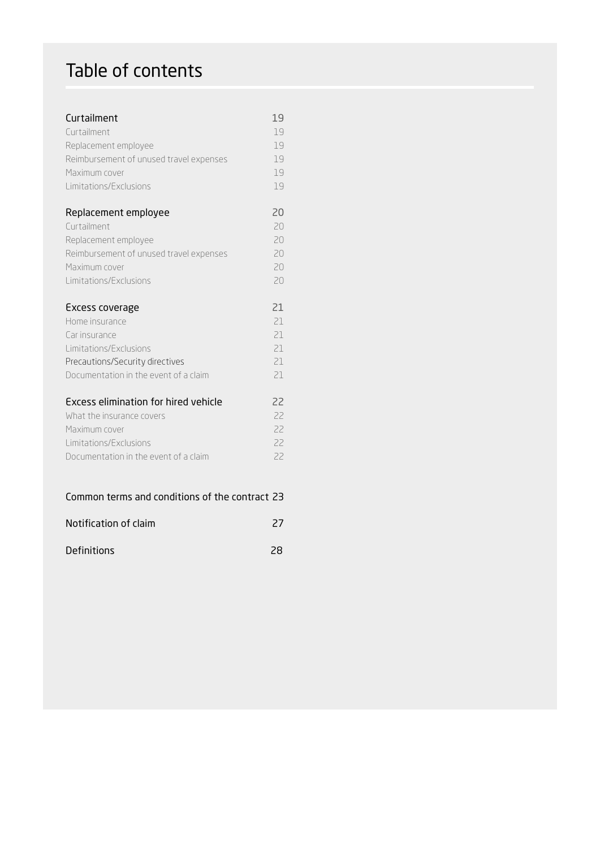## Table of contents

| Curtailment                             | 19 |
|-----------------------------------------|----|
| Curtailment                             | 19 |
| Replacement employee                    | 19 |
| Reimbursement of unused travel expenses | 19 |
| Maximum cover                           | 19 |
| Limitations/Exclusions                  | 19 |
| Replacement employee                    | 20 |
| Curtailment                             | 20 |
| Replacement employee                    | 20 |
| Reimbursement of unused travel expenses | 20 |
| Maximum cover                           | 20 |
| Limitations/Exclusions                  | 20 |
| Excess coverage                         | 21 |
| Home insurance                          | 21 |
| Car insurance                           | 21 |
| Limitations/Exclusions                  | 21 |
| Precautions/Security directives         | 21 |
| Documentation in the event of a claim   | 21 |

## Common terms and conditions of the contract 23

| Notification of claim |  |
|-----------------------|--|
|                       |  |

| <b>Definitions</b> | 28 |
|--------------------|----|
|                    |    |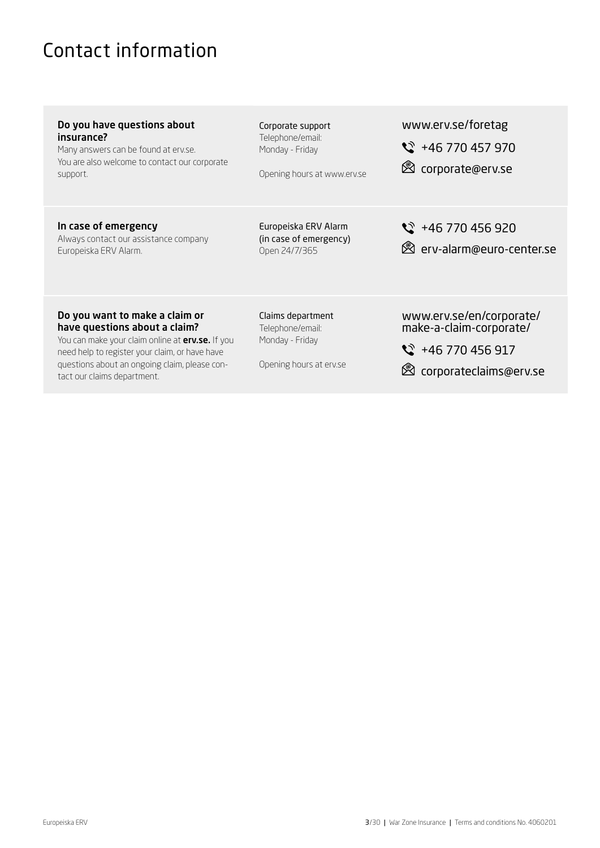## <span id="page-2-0"></span>Contact information

questions about an ongoing claim, please con-

tact our claims department.

| Do you have questions about<br>insurance?<br>Many answers can be found at erv.se.<br>You are also welcome to contact our corporate<br>support.                        | Corporate support<br>Telephone/email:<br>Monday - Friday<br>Opening hours at www.erv.se | www.erv.se/foretag<br>$\frac{1}{2}$ +46 770 457 970<br>torporate@erv.se              |
|-----------------------------------------------------------------------------------------------------------------------------------------------------------------------|-----------------------------------------------------------------------------------------|--------------------------------------------------------------------------------------|
| In case of emergency<br>Always contact our assistance company<br>Europeiska ERV Alarm.                                                                                | Europeiska ERV Alarm<br>(in case of emergency)<br>Open 24/7/365                         | $\frac{1}{2}$ +46 770 456 920<br><b>&amp;</b> erv-alarm@euro-center.se               |
| Do you want to make a claim or<br>have questions about a claim?<br>You can make your claim online at erv.se. If you<br>need help to register your claim, or have have | Claims department<br>Telephone/email:<br>Monday - Friday                                | www.erv.se/en/corporate/<br>make-a-claim-corporate/<br>$\frac{1}{2}$ +46 770 456 917 |

corporateclaims@erv.se

Opening hours at erv.se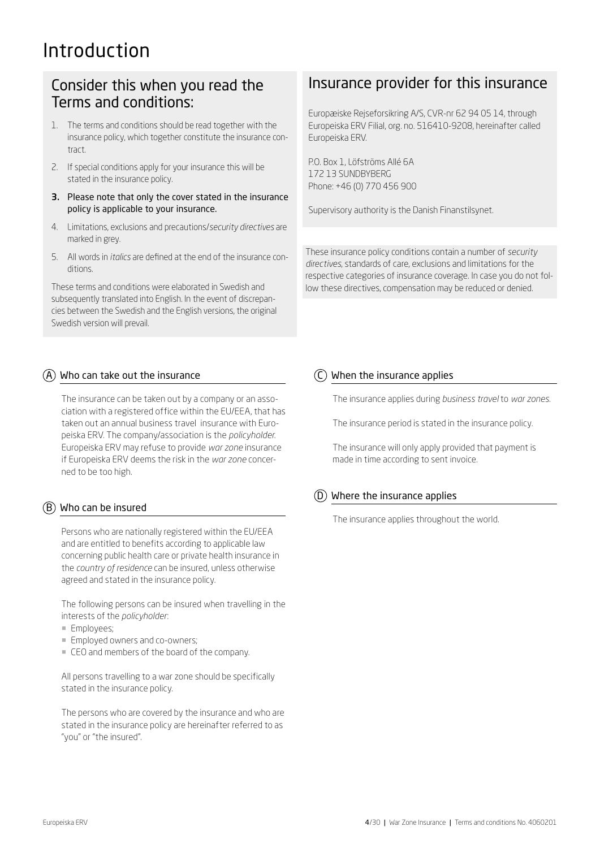## Introduction

## Consider this when you read the Terms and conditions:

- 1. The terms and conditions should be read together with the insurance policy, which together constitute the insurance contract.
- 2. If special conditions apply for your insurance this will be stated in the insurance policy.
- 3. Please note that only the cover stated in the insurance policy is applicable to your insurance.
- 4. Limitations, exclusions and precautions/*security directives* are marked in grey.
- 5. All words in *italics* are defined at the end of the insurance conditions.

These terms and conditions were elaborated in Swedish and subsequently translated into English. In the event of discrepancies between the Swedish and the English versions, the original Swedish version will prevail.

## $(A)$  Who can take out the insurance

The insurance can be taken out by a company or an association with a registered office within the EU/EEA, that has taken out an annual business travel insurance with Europeiska ERV. The company/association is the *policyholder*. Europeiska ERV may refuse to provide *war zone* insurance if Europeiska ERV deems the risk in the *war zone* concerned to be too high.

## $\overline{(B)}$  Who can be insured

Persons who are nationally registered within the EU/EEA and are entitled to benefits according to applicable law concerning public health care or private health insurance in the *country of residence* can be insured, unless otherwise agreed and stated in the insurance policy.

The following persons can be insured when travelling in the interests of the *policyholder*:

- ¡ Employees;
- **Employed owners and co-owners;**
- CEO and members of the board of the company.

All persons travelling to a war zone should be specifically stated in the insurance policy.

The persons who are covered by the insurance and who are stated in the insurance policy are hereinafter referred to as "you" or "the insured".

## Insurance provider for this insurance

Europæiske Rejseforsikring A/S, CVR-nr 62 94 05 14, through Europeiska ERV Filial, org. no. 516410-9208, hereinafter called Europeiska ERV.

P.O. Box 1, Löfströms Allé 6A 172 13 SUNDBYBERG Phone: +46 (0) 770 456 900

Supervisory authority is the Danish Finanstilsynet.

These insurance policy conditions contain a number of *security directives*, standards of care, exclusions and limitations for the respective categories of insurance coverage. In case you do not follow these directives, compensation may be reduced or denied.

## $(C)$  When the insurance applies

The insurance applies during *business travel* to *war zones*.

The insurance period is stated in the insurance policy.

The insurance will only apply provided that payment is made in time according to sent invoice.

## $(D)$  Where the insurance applies

The insurance applies throughout the world.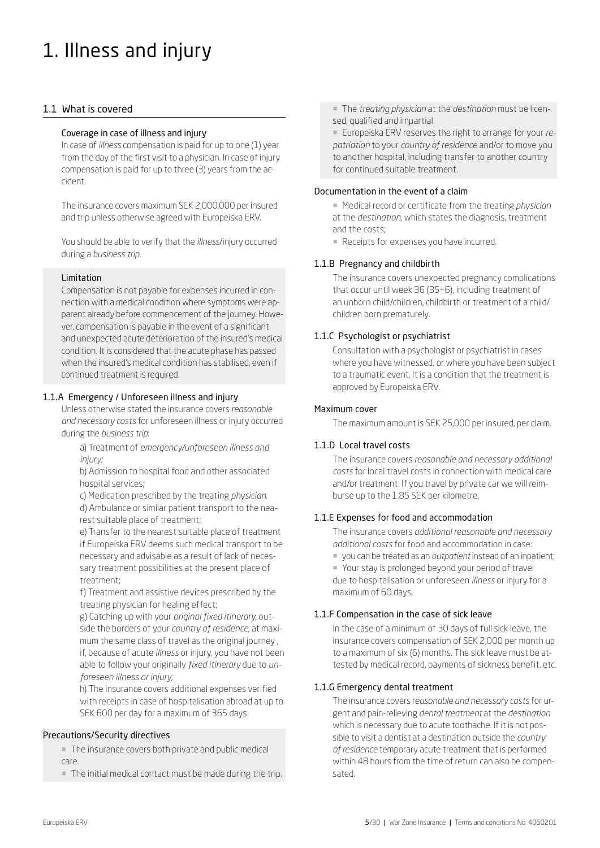# 1. Illness and injury

## 1.1 What is covered

## Coverage in case of illness and injury

In case of *illness* compensation is paid for up to one (1) year from the day of the first visit to a physician. In case of injury compensation is paid for up to three (3) years from the accident.

The insurance covers maximum SEK 2,000,000 per insured and trip unless otherwise agreed with Europeiska ERV.

You should be able to verify that the *illness*/injury occurred during a *business trip.*

### Limitation

Compensation is not payable for expenses incurred in connection with a medical condition where symptoms were apparent already before commencement of the journey. However, compensation is payable in the event of a significant and unexpected acute deterioration of the insured's medical condition. It is considered that the acute phase has passed when the insured's medical condition has stabilised, even if continued treatment is required.

## 1.1.A Emergency / Unforeseen illness and injury

Unless otherwise stated the insurance covers *reasonable and necessary costs* for unforeseen illness or injury occurred during the *business trip*:

a) Treatment of *emergency/unforeseen illness and injury;*

b) Admission to hospital food and other associated hospital services;

c) Medication prescribed by the treating *physician*. d) Ambulance or similar patient transport to the nearest suitable place of treatment;

e) Transfer to the nearest suitable place of treatment if Europeiska ERV deems such medical transport to be necessary and advisable as a result of lack of necessary treatment possibilities at the present place of treatment;

f) Treatment and assistive devices prescribed by the treating physician for healing effect;

g) Catching up with your *original fixed itinerary,* outside the borders of your *country of residence*, at maximum the same class of travel as the original journey , if, because of acute *illness* or injury, you have not been able to follow your originally *fixed itinerary* due to *unforeseen illness or injury;*

h) The insurance covers additional expenses verified with receipts in case of hospitalisation abroad at up to SEK 600 per day for a maximum of 365 days.

## Precautions/Security directives

¡ The insurance covers both private and public medical care.

¡ The initial medical contact must be made during the trip.

¡ The *treating physician* at the *destination* must be licensed, qualified and impartial.

■ Europeiska ERV reserves the right to arrange for your *repatriation* to your *country of residence* and/or to move you to another hospital, including transfer to another country for continued suitable treatment.

#### Documentation in the event of a claim

¡ Medical record or certificate from the treating *physician* at the *destination*, which states the diagnosis, treatment and the costs;

■ Receipts for expenses you have incurred.

## 1.1.B Pregnancy and childbirth

The insurance covers unexpected pregnancy complications that occur until week 36 (35+6), including treatment of an unborn child/children, childbirth or treatment of a child/ children born prematurely.

## 1.1.C Psychologist or psychiatrist

Consultation with a psychologist or psychiatrist in cases where you have witnessed, or where you have been subject to a traumatic event. It is a condition that the treatment is approved by Europeiska ERV.

### Maximum cover

The maximum amount is SEK 25,000 per insured, per claim.

## 1.1.D Local travel costs

The insurance covers *reasonable and necessary additional costs* for local travel costs in connection with medical care and/or treatment. If you travel by private car we will reimburse up to the 1.85 SEK per kilometre.

#### 1.1.E Expenses for food and accommodation

The insurance covers *additional reasonable and necessary additional costs* for food and accommodation in case:

¡ you can be treated as an *outpatient* instead of an inpatient;

■ Your stay is prolonged beyond your period of travel due to hospitalisation or unforeseen *illness* or injury for a maximum of 60 days.

## 1.1.F Compensation in the case of sick leave

In the case of a minimum of 30 days of full sick leave, the insurance covers compensation of SEK 2,000 per month up to a maximum of six (6) months. The sick leave must be attested by medical record, payments of sickness benefit, etc.

## 1.1.G Emergency dental treatment

The insurance covers r*easonable and necessary costs* for urgent and pain-relieving *dental treatment* at the *destination* which is necessary due to acute toothache. If it is not possible to visit a dentist at a destination outside the *country of residence* temporary acute treatment that is performed within 48 hours from the time of return can also be compensated.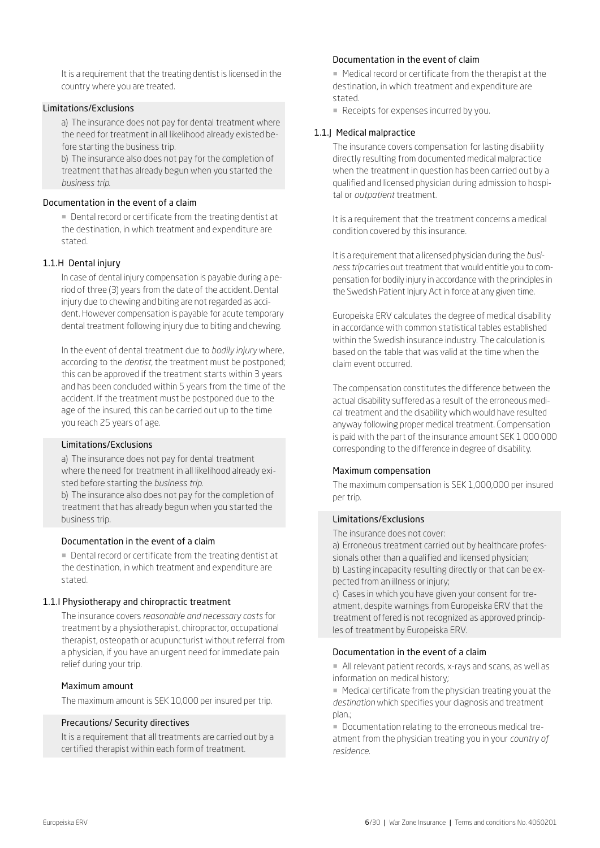It is a requirement that the treating dentist is licensed in the country where you are treated.

#### Limitations/Exclusions

a) The insurance does not pay for dental treatment where the need for treatment in all likelihood already existed before starting the business trip.

b) The insurance also does not pay for the completion of treatment that has already begun when you started the *business trip*.

### Documentation in the event of a claim

■ Dental record or certificate from the treating dentist at the destination, in which treatment and expenditure are stated.

#### 1.1.H Dental injury

In case of dental injury compensation is payable during a period of three (3) years from the date of the accident. Dental injury due to chewing and biting are not regarded as accident. However compensation is payable for acute temporary dental treatment following injury due to biting and chewing.

In the event of dental treatment due to *bodily injury* where, according to the *dentist*, the treatment must be postponed; this can be approved if the treatment starts within 3 years and has been concluded within 5 years from the time of the accident. If the treatment must be postponed due to the age of the insured, this can be carried out up to the time you reach 25 years of age.

#### Limitations/Exclusions

a) The insurance does not pay for dental treatment where the need for treatment in all likelihood already existed before starting the *business trip*.

b) The insurance also does not pay for the completion of treatment that has already begun when you started the business trip.

#### Documentation in the event of a claim

**• Dental record or certificate from the treating dentist at** the destination, in which treatment and expenditure are stated.

#### 1.1.I Physiotherapy and chiropractic treatment

The insurance covers *reasonable and necessary costs* for treatment by a physiotherapist, chiropractor, occupational therapist, osteopath or acupuncturist without referral from a physician, if you have an urgent need for immediate pain relief during your trip.

#### Maximum amount

The maximum amount is SEK 10,000 per insured per trip.

#### Precautions/ Security directives

It is a requirement that all treatments are carried out by a certified therapist within each form of treatment.

## Documentation in the event of claim

¡ Medical record or certificate from the therapist at the destination, in which treatment and expenditure are stated.

■ Receipts for expenses incurred by you.

#### 1.1.J Medical malpractice

The insurance covers compensation for lasting disability directly resulting from documented medical malpractice when the treatment in question has been carried out by a qualified and licensed physician during admission to hospital or *outpatient* treatment.

It is a requirement that the treatment concerns a medical condition covered by this insurance.

It is a requirement that a licensed physician during the *business trip* carries out treatment that would entitle you to compensation for bodily injury in accordance with the principles in the Swedish Patient Injury Act in force at any given time.

Europeiska ERV calculates the degree of medical disability in accordance with common statistical tables established within the Swedish insurance industry. The calculation is based on the table that was valid at the time when the claim event occurred.

The compensation constitutes the difference between the actual disability suffered as a result of the erroneous medical treatment and the disability which would have resulted anyway following proper medical treatment. Compensation is paid with the part of the insurance amount SEK 1 000 000 corresponding to the difference in degree of disability.

#### Maximum compensation

The maximum compensation is SEK 1,000,000 per insured per trip.

#### Limitations/Exclusions

The insurance does not cover:

a) Erroneous treatment carried out by healthcare professionals other than a qualified and licensed physician; b) Lasting incapacity resulting directly or that can be expected from an illness or injury;

c) Cases in which you have given your consent for treatment, despite warnings from Europeiska ERV that the treatment offered is not recognized as approved principles of treatment by Europeiska ERV.

#### Documentation in the event of a claim

¡ All relevant patient records, x-rays and scans, as well as information on medical history;

■ Medical certificate from the physician treating you at the *destination* which specifies your diagnosis and treatment plan.;

¡ Documentation relating to the erroneous medical treatment from the physician treating you in your *country of residence.*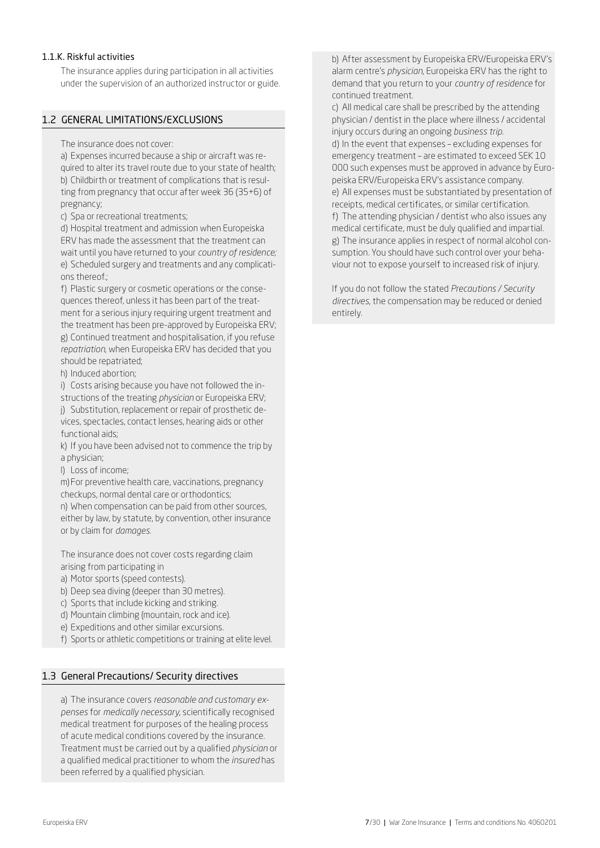## 1.1.K. Riskful activities

The insurance applies during participation in all activities under the supervision of an authorized instructor or guide.

## 1.2 GENERAL LIMITATIONS/EXCLUSIONS

The insurance does not cover:

a) Expenses incurred because a ship or aircraft was required to alter its travel route due to your state of health; b) Childbirth or treatment of complications that is resulting from pregnancy that occur after week 36 (35+6) of pregnancy;

c) Spa or recreational treatments;

d) Hospital treatment and admission when Europeiska ERV has made the assessment that the treatment can wait until you have returned to your *country of residence;* e) Scheduled surgery and treatments and any complications thereof.;

f) Plastic surgery or cosmetic operations or the consequences thereof, unless it has been part of the treatment for a serious injury requiring urgent treatment and the treatment has been pre-approved by Europeiska ERV; g) Continued treatment and hospitalisation, if you refuse *repatriation*, when Europeiska ERV has decided that you should be repatriated;

h) Induced abortion;

i) Costs arising because you have not followed the instructions of the treating *physician* or Europeiska ERV;

j) Substitution, replacement or repair of prosthetic devices, spectacles, contact lenses, hearing aids or other functional aids;

k) If you have been advised not to commence the trip by a physician;

l) Loss of income;

m)For preventive health care, vaccinations, pregnancy checkups, normal dental care or orthodontics;

n) When compensation can be paid from other sources, either by law, by statute, by convention, other insurance or by claim for *damages*.

The insurance does not cover costs regarding claim arising from participating in

- a) Motor sports (speed contests).
- b) Deep sea diving (deeper than 30 metres).
- c) Sports that include kicking and striking.
- d) Mountain climbing (mountain, rock and ice).
- e) Expeditions and other similar excursions.
- f) Sports or athletic competitions or training at elite level.

#### 1.3 General Precautions/ Security directives

a) The insurance covers *reasonable and customary expenses* for *medically necessary*, scientifically recognised medical treatment for purposes of the healing process of acute medical conditions covered by the insurance. Treatment must be carried out by a qualified *physician* or a qualified medical practitioner to whom the *insured* has been referred by a qualified physician.

b) After assessment by Europeiska ERV/Europeiska ERV's alarm centre's *physician*, Europeiska ERV has the right to demand that you return to your *country of residence* for continued treatment.

c) All medical care shall be prescribed by the attending physician / dentist in the place where illness / accidental injury occurs during an ongoing *business trip.* d) In the event that expenses – excluding expenses for emergency treatment – are estimated to exceed SEK 10 000 such expenses must be approved in advance by Europeiska ERV/Europeiska ERV's assistance company. e) All expenses must be substantiated by presentation of receipts, medical certificates, or similar certification. f) The attending physician / dentist who also issues any medical certificate, must be duly qualified and impartial. g) The insurance applies in respect of normal alcohol consumption. You should have such control over your behaviour not to expose yourself to increased risk of injury.

If you do not follow the stated *Precautions / Security directives*, the compensation may be reduced or denied entirely.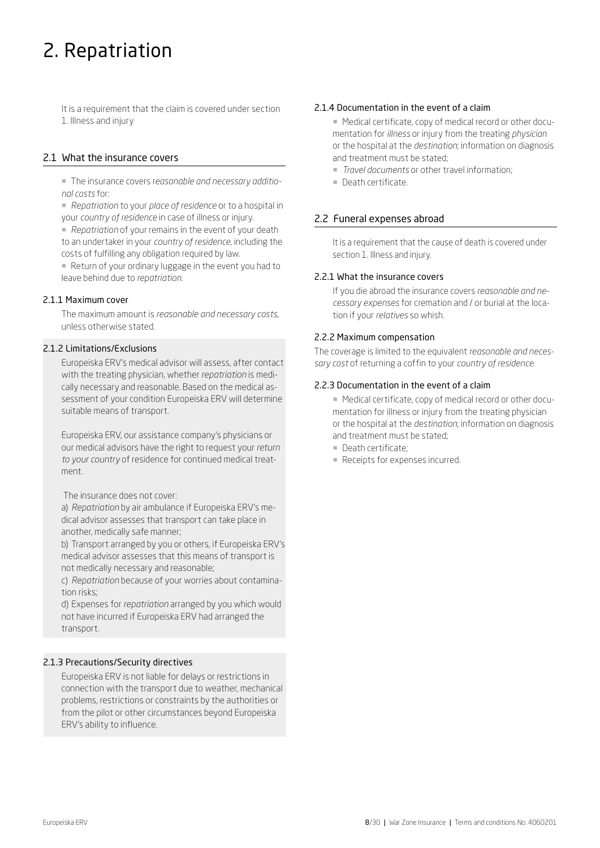## 2. Repatriation

It is a requirement that the claim is covered under section 1. Illness and injury

## 2.1 What the insurance covers

¡ The insurance covers r*easonable and necessary additional costs* for:

¡ *Repatriation* to your *place of residence* or to a hospital in your *country of residence* in case of illness or injury.

■ *Repatriation* of your remains in the event of your death to an undertaker in your *country of residence,* including the costs of fulfilling any obligation required by law.

¡ Return of your ordinary luggage in the event you had to leave behind due to *repatriation*.

### 2.1.1 Maximum cover

The maximum amount is *reasonable and necessary costs*, unless otherwise stated.

## 2.1.2 Limitations/Exclusions

Europeiska ERV's medical advisor will assess, after contact with the treating physician, whether *repatriation* is medically necessary and reasonable. Based on the medical assessment of your condition Europeiska ERV will determine suitable means of transport.

Europeiska ERV, our assistance company's physicians or our medical advisors have the right to request your *return to your country* of residence for continued medical treatment.

The insurance does not cover:

a) *Repatriation* by air ambulance if Europeiska ERV's medical advisor assesses that transport can take place in another, medically safe manner;

b) Transport arranged by you or others, if Europeiska ERV's medical advisor assesses that this means of transport is not medically necessary and reasonable;

c) *Repatriation* because of your worries about contamination risks;

d) Expenses for *repatriation* arranged by you which would not have incurred if Europeiska ERV had arranged the transport.

## 2.1.3 Precautions/Security directives

Europeiska ERV is not liable for delays or restrictions in connection with the transport due to weather, mechanical problems, restrictions or constraints by the authorities or from the pilot or other circumstances beyond Europeiska ERV's ability to influence.

## 2.1.4 Documentation in the event of a claim

■ Medical certificate, copy of medical record or other documentation for *illness* or injury from the treating *physician* or the hospital at the *destination*; information on diagnosis and treatment must be stated;

- ¡ *Travel documents* or other travel information;
- ¡ Death certificate.

## 2.2 Funeral expenses abroad

It is a requirement that the cause of death is covered under section 1. Illness and injury.

#### 2.2.1 What the insurance covers

If you die abroad the insurance covers *reasonable and necessary expenses* for cremation and / or burial at the location if your *relatives* so whish.

#### 2.2.2 Maximum compensation

The coverage is limited to the equivalent *reasonable and necessary cost* of returning a coffin to your *country of residence.*

### 2.2.3 Documentation in the event of a claim

■ Medical certificate, copy of medical record or other documentation for illness or injury from the treating physician or the hospital at the *destination*; information on diagnosis and treatment must be stated;

- **Death certificate:**
- Receipts for expenses incurred.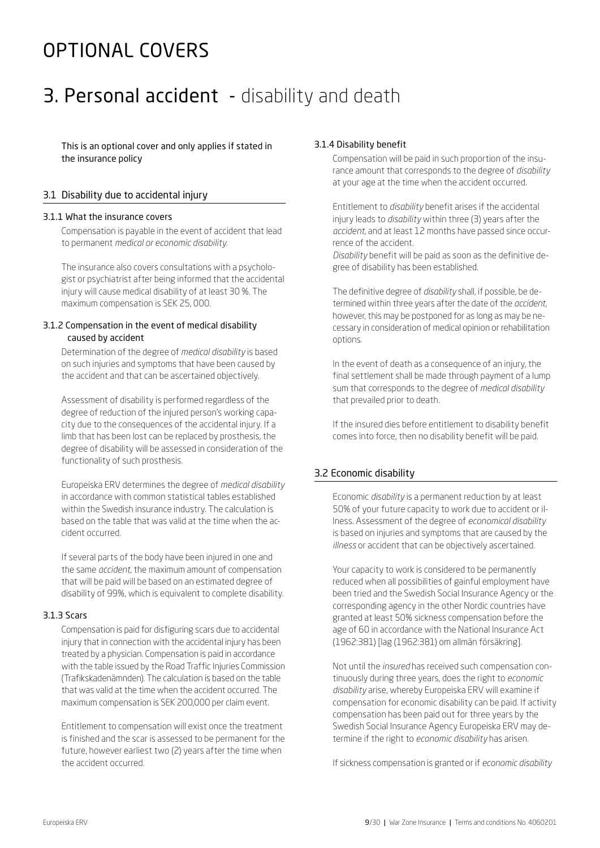## OPTIONAL COVERS

## 3. Personal accident - disability and death

This is an optional cover and only applies if stated in the insurance policy

## 3.1 Disability due to accidental injury

#### 3.1.1 What the insurance covers

Compensation is payable in the event of accident that lead to permanent *medical or economic disability.*

The insurance also covers consultations with a psychologist or psychiatrist after being informed that the accidental injury will cause medical disability of at least 30 %. The maximum compensation is SEK 25, 000.

#### 3.1.2 Compensation in the event of medical disability caused by accident

Determination of the degree of *medical disability* is based on such injuries and symptoms that have been caused by the accident and that can be ascertained objectively.

Assessment of disability is performed regardless of the degree of reduction of the injured person's working capacity due to the consequences of the accidental injury. If a limb that has been lost can be replaced by prosthesis, the degree of disability will be assessed in consideration of the functionality of such prosthesis.

Europeiska ERV determines the degree of *medical disability*  in accordance with common statistical tables established within the Swedish insurance industry. The calculation is based on the table that was valid at the time when the accident occurred.

If several parts of the body have been injured in one and the same *accident*, the maximum amount of compensation that will be paid will be based on an estimated degree of disability of 99%, which is equivalent to complete disability.

#### 3.1.3 Scars

Compensation is paid for disfiguring scars due to accidental injury that in connection with the accidental injury has been treated by a physician. Compensation is paid in accordance with the table issued by the Road Traffic Injuries Commission (Trafikskadenämnden). The calculation is based on the table that was valid at the time when the accident occurred. The maximum compensation is SEK 200,000 per claim event.

Entitlement to compensation will exist once the treatment is finished and the scar is assessed to be permanent for the future, however earliest two (2) years after the time when the accident occurred.

## 3.1.4 Disability benefit

Compensation will be paid in such proportion of the insurance amount that corresponds to the degree of *disability* at your age at the time when the accident occurred.

Entitlement to *disability* benefit arises if the accidental injury leads to *disability* within three (3) years after the *accident*, and at least 12 months have passed since occurrence of the accident.

*Disability* benefit will be paid as soon as the definitive degree of disability has been established.

The definitive degree of *disability* shall, if possible, be determined within three years after the date of the *accident*, however, this may be postponed for as long as may be necessary in consideration of medical opinion or rehabilitation options.

In the event of death as a consequence of an injury, the final settlement shall be made through payment of a lump sum that corresponds to the degree of *medical disability* that prevailed prior to death.

If the insured dies before entitlement to disability benefit comes into force, then no disability benefit will be paid.

## 3.2 Economic disability

Economic *disability* is a permanent reduction by at least 50% of your future capacity to work due to accident or illness. Assessment of the degree of *economical disability* is based on injuries and symptoms that are caused by the *illness* or accident that can be objectively ascertained.

Your capacity to work is considered to be permanently reduced when all possibilities of gainful employment have been tried and the Swedish Social Insurance Agency or the corresponding agency in the other Nordic countries have granted at least 50% sickness compensation before the age of 60 in accordance with the National Insurance Act (1962:381) [lag (1962:381) om allmän försäkring].

Not until the *insured* has received such compensation continuously during three years, does the right to *economic disability* arise, whereby Europeiska ERV will examine if compensation for economic disability can be paid. If activity compensation has been paid out for three years by the Swedish Social Insurance Agency Europeiska ERV may determine if the right to *economic disability* has arisen.

If sickness compensation is granted or if *economic disability*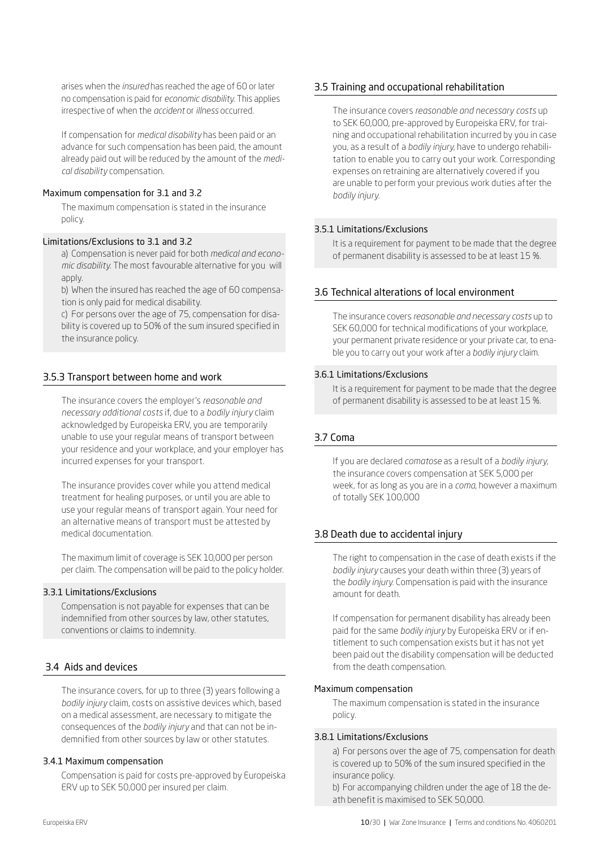arises when the *insured* has reached the age of 60 or later no compensation is paid for *economic disability*. This applies irrespective of when the *accident* or *illness* occurred.

If compensation for *medical disability* has been paid or an advance for such compensation has been paid, the amount already paid out will be reduced by the amount of the *medical disability* compensation.

### Maximum compensation for 3.1 and 3.2

The maximum compensation is stated in the insurance policy.

### Limitations/Exclusions to 3.1 and 3.2

a) Compensation is never paid for both *medical and economic disability*. The most favourable alternative for you will apply.

b) When the insured has reached the age of 60 compensation is only paid for medical disability.

c) For persons over the age of 75, compensation for disability is covered up to 50% of the sum insured specified in the insurance policy.

## 3.5.3 Transport between home and work

The insurance covers the employer's *reasonable and necessary additional costs* if, due to a *bodily injury* claim acknowledged by Europeiska ERV, you are temporarily unable to use your regular means of transport between your residence and your workplace, and your employer has incurred expenses for your transport.

The insurance provides cover while you attend medical treatment for healing purposes, or until you are able to use your regular means of transport again. Your need for an alternative means of transport must be attested by medical documentation.

The maximum limit of coverage is SEK 10,000 per person per claim. The compensation will be paid to the policy holder.

### 3.3.1 Limitations/Exclusions

Compensation is not payable for expenses that can be indemnified from other sources by law, other statutes, conventions or claims to indemnity.

## 3.4 Aids and devices

The insurance covers, for up to three (3) years following a *bodily injury* claim, costs on assistive devices which, based on a medical assessment, are necessary to mitigate the consequences of the *bodily injury* and that can not be indemnified from other sources by law or other statutes.

#### 3.4.1 Maximum compensation

Compensation is paid for costs pre-approved by Europeiska ERV up to SEK 50,000 per insured per claim.

## 3.5 Training and occupational rehabilitation

The insurance covers *reasonable and necessary costs* up to SEK 60,000, pre-approved by Europeiska ERV, for training and occupational rehabilitation incurred by you in case you, as a result of a *bodily injury*, have to undergo rehabilitation to enable you to carry out your work. Corresponding expenses on retraining are alternatively covered if you are unable to perform your previous work duties after the *bodily injury.* 

### 3.5.1 Limitations/Exclusions

It is a requirement for payment to be made that the degree of permanent disability is assessed to be at least 15 %.

## 3.6 Technical alterations of local environment

The insurance covers *reasonable and necessary costs* up to SEK 60,000 for technical modifications of your workplace, your permanent private residence or your private car, to enable you to carry out your work after a *bodily injury* claim.

### 3.6.1 Limitations/Exclusions

It is a requirement for payment to be made that the degree of permanent disability is assessed to be at least 15 %.

## 3.7 Coma

If you are declared *comatose* as a result of a *bodily injury*, the insurance covers compensation at SEK 5,000 per week, for as long as you are in a *coma*, however a maximum of totally SEK 100,000

## 3.8 Death due to accidental injury

The right to compensation in the case of death exists if the *bodily injury* causes your death within three (3) years of the *bodily injury*. Compensation is paid with the insurance amount for death.

If compensation for permanent disability has already been paid for the same *bodily injury* by Europeiska ERV or if entitlement to such compensation exists but it has not yet been paid out the disability compensation will be deducted from the death compensation.

#### Maximum compensation

The maximum compensation is stated in the insurance policy.

#### 3.8.1 Limitations/Exclusions

a) For persons over the age of 75, compensation for death is covered up to 50% of the sum insured specified in the insurance policy.

b) For accompanying children under the age of 18 the death benefit is maximised to SEK 50,000.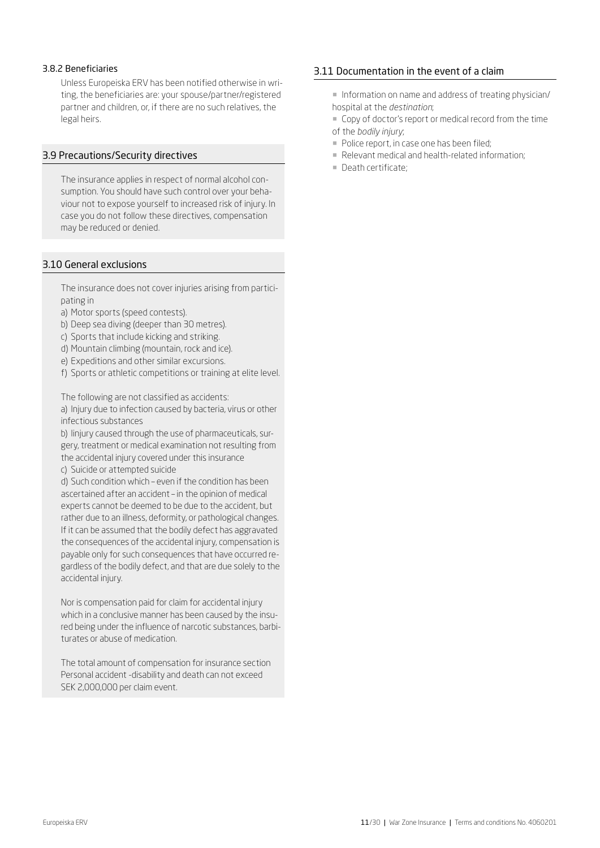#### 3.8.2 Beneficiaries

Unless Europeiska ERV has been notified otherwise in writing, the beneficiaries are: your spouse/partner/registered partner and children, or, if there are no such relatives, the legal heirs.

#### 3.9 Precautions/Security directives

The insurance applies in respect of normal alcohol consumption. You should have such control over your behaviour not to expose yourself to increased risk of injury. In case you do not follow these directives, compensation may be reduced or denied.

### 3.10 General exclusions

The insurance does not cover injuries arising from participating in

- a) Motor sports (speed contests).
- b) Deep sea diving (deeper than 30 metres).
- c) Sports that include kicking and striking.
- d) Mountain climbing (mountain, rock and ice).
- e) Expeditions and other similar excursions.
- f) Sports or athletic competitions or training at elite level.

The following are not classified as accidents:

a) Injury due to infection caused by bacteria, virus or other infectious substances

b) Iinjury caused through the use of pharmaceuticals, surgery, treatment or medical examination not resulting from the accidental injury covered under this insurance

c) Suicide or attempted suicide

d) Such condition which – even if the condition has been ascertained after an accident – in the opinion of medical experts cannot be deemed to be due to the accident, but rather due to an illness, deformity, or pathological changes. If it can be assumed that the bodily defect has aggravated the consequences of the accidental injury, compensation is payable only for such consequences that have occurred regardless of the bodily defect, and that are due solely to the accidental injury.

Nor is compensation paid for claim for accidental injury which in a conclusive manner has been caused by the insured being under the influence of narcotic substances, barbiturates or abuse of medication.

The total amount of compensation for insurance section Personal accident -disability and death can not exceed SEK 2,000,000 per claim event.

### 3.11 Documentation in the event of a claim

- ¡ Information on name and address of treating physician/ hospital at the *destination*;
- ¡ Copy of doctor's report or medical record from the time of the *bodily injury*;
- Police report, in case one has been filed;
- Relevant medical and health-related information:
- ¡ Death certificate;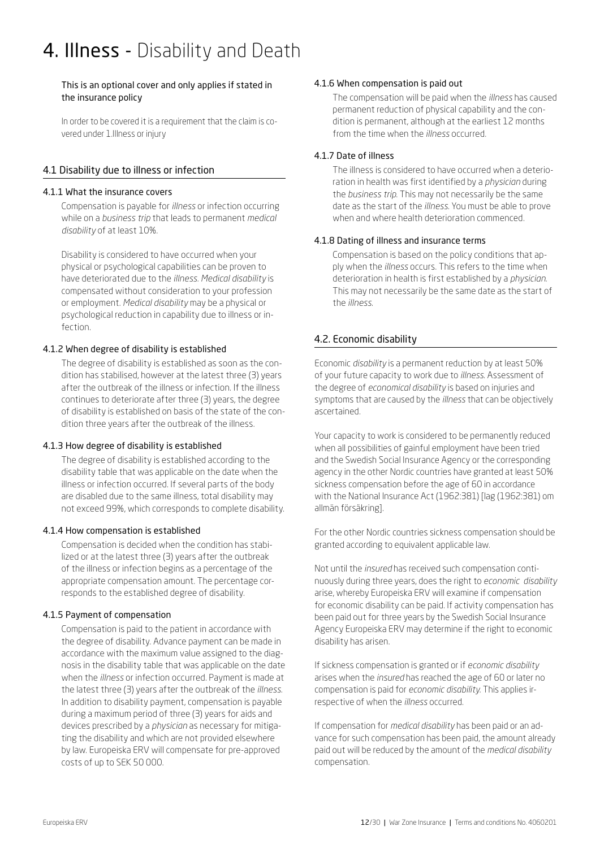## 4. Illness - Disability and Death

This is an optional cover and only applies if stated in the insurance policy

In order to be covered it is a requirement that the claim is covered under 1.Illness or injury

## 4.1 Disability due to illness or infection

#### 4.1.1 What the insurance covers

Compensation is payable for *illness* or infection occurring while on a *business trip* that leads to permanent *medical disability* of at least 10%.

Disability is considered to have occurred when your physical or psychological capabilities can be proven to have deteriorated due to the *illness*. *Medical disability* is compensated without consideration to your profession or employment. *Medical disability* may be a physical or psychological reduction in capability due to illness or infection.

### 4.1.2 When degree of disability is established

The degree of disability is established as soon as the condition has stabilised, however at the latest three (3) years after the outbreak of the illness or infection. If the illness continues to deteriorate after three (3) years, the degree of disability is established on basis of the state of the condition three years after the outbreak of the illness.

#### 4.1.3 How degree of disability is established

The degree of disability is established according to the disability table that was applicable on the date when the illness or infection occurred. If several parts of the body are disabled due to the same illness, total disability may not exceed 99%, which corresponds to complete disability.

## 4.1.4 How compensation is established

Compensation is decided when the condition has stabilized or at the latest three (3) years after the outbreak of the illness or infection begins as a percentage of the appropriate compensation amount. The percentage corresponds to the established degree of disability.

#### 4.1.5 Payment of compensation

Compensation is paid to the patient in accordance with the degree of disability. Advance payment can be made in accordance with the maximum value assigned to the diagnosis in the disability table that was applicable on the date when the *illness* or infection occurred. Payment is made at the latest three (3) years after the outbreak of the *illness*. In addition to disability payment, compensation is payable during a maximum period of three (3) years for aids and devices prescribed by a *physician* as necessary for mitigating the disability and which are not provided elsewhere by law. Europeiska ERV will compensate for pre-approved costs of up to SEK 50 000.

#### 4.1.6 When compensation is paid out

The compensation will be paid when the *illness* has caused permanent reduction of physical capability and the condition is permanent, although at the earliest 12 months from the time when the *illness* occurred.

## 4.1.7 Date of illness

The illness is considered to have occurred when a deterioration in health was first identified by a *physician* during the *business trip*. This may not necessarily be the same date as the start of the *illness*. You must be able to prove when and where health deterioration commenced.

### 4.1.8 Dating of illness and insurance terms

Compensation is based on the policy conditions that apply when the *illness* occurs. This refers to the time when deterioration in health is first established by a *physician*. This may not necessarily be the same date as the start of the *illness*.

## 4.2. Economic disability

Economic *disability* is a permanent reduction by at least 50% of your future capacity to work due to *illness*. Assessment of the degree of *economical disability* is based on injuries and symptoms that are caused by the *illness* that can be objectively ascertained.

Your capacity to work is considered to be permanently reduced when all possibilities of gainful employment have been tried and the Swedish Social Insurance Agency or the corresponding agency in the other Nordic countries have granted at least 50% sickness compensation before the age of 60 in accordance with the National Insurance Act (1962:381) [lag (1962:381) om allmän försäkring].

For the other Nordic countries sickness compensation should be granted according to equivalent applicable law.

Not until the *insured* has received such compensation continuously during three years, does the right to *economic disability*  arise, whereby Europeiska ERV will examine if compensation for economic disability can be paid. If activity compensation has been paid out for three years by the Swedish Social Insurance Agency Europeiska ERV may determine if the right to economic disability has arisen.

If sickness compensation is granted or if *economic disability* arises when the *insured* has reached the age of 60 or later no compensation is paid for *economic disability*. This applies irrespective of when the *illness* occurred.

If compensation for *medical disability* has been paid or an advance for such compensation has been paid, the amount already paid out will be reduced by the amount of the *medical disability* compensation.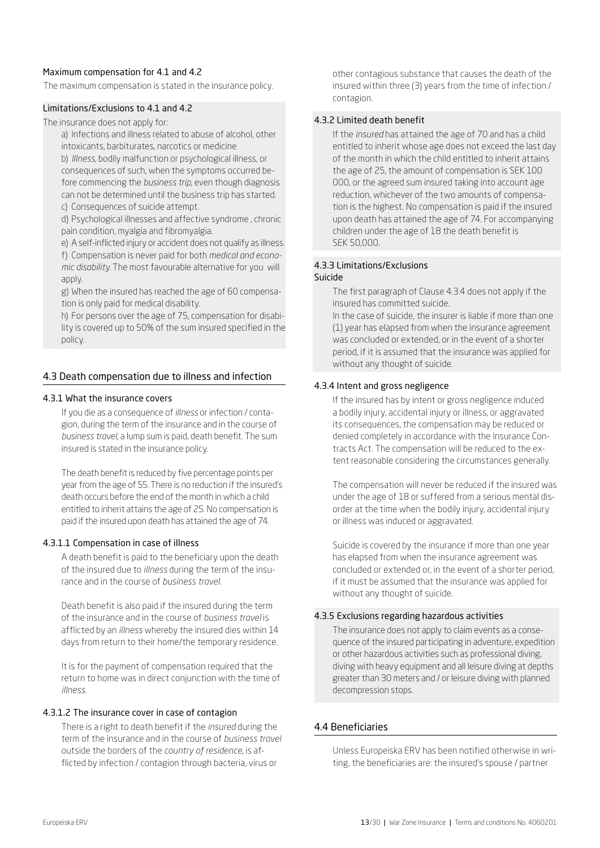## Maximum compensation for 4.1 and 4.2

The maximum compensation is stated in the insurance policy.

#### Limitations/Exclusions to 4.1 and 4.2

The insurance does not apply for:

a) Infections and illness related to abuse of alcohol, other intoxicants, barbiturates, narcotics or medicine

b) *Illness*, bodily malfunction or psychological illness, or consequences of such, when the symptoms occurred before commencing the *business trip*, even though diagnosis can not be determined until the business trip has started. c) Consequences of suicide attempt.

d) Psychological illnesses and affective syndrome , chronic pain condition, myalgia and fibromyalgia.

e) A self-inflicted injury or accident does not qualify as illness. f) Compensation is never paid for both *medical and economic disability*. The most favourable alternative for you will apply.

g) When the insured has reached the age of 60 compensation is only paid for medical disability.

h) For persons over the age of 75, compensation for disability is covered up to 50% of the sum insured specified in the policy.

### 4.3 Death compensation due to illness and infection

#### 4.3.1 What the insurance covers

If you die as a consequence of *illness* or infection / contagion, during the term of the insurance and in the course of *business travel,* a lump sum is paid, death benefit. The sum insured is stated in the insurance policy.

The death benefit is reduced by five percentage points per year from the age of 55. There is no reduction if the insured's death occurs before the end of the month in which a child entitled to inherit attains the age of 25. No compensation is paid if the insured upon death has attained the age of 74.

#### 4.3.1.1 Compensation in case of illness

A death benefit is paid to the beneficiary upon the death of the insured due to *illness* during the term of the insurance and in the course of *business travel.*

Death benefit is also paid if the insured during the term of the insurance and in the course of *business travel* is afflicted by an *illness* whereby the insured dies within 14 days from return to their home/the temporary residence.

It is for the payment of compensation required that the return to home was in direct conjunction with the time of *illness*.

### 4.3.1.2 The insurance cover in case of contagion

There is a right to death benefit if the *insured* during the term of the insurance and in the course of *business travel*  outside the borders of the *country of residence*, is afflicted by infection / contagion through bacteria, virus or

other contagious substance that causes the death of the insured within three (3) years from the time of infection / contagion.

#### 4.3.2 Limited death benefit

If the *insured* has attained the age of 70 and has a child entitled to inherit whose age does not exceed the last day of the month in which the child entitled to inherit attains the age of 25, the amount of compensation is SEK 100 000, or the agreed sum insured taking into account age reduction, whichever of the two amounts of compensation is the highest. No compensation is paid if the insured upon death has attained the age of 74. For accompanying children under the age of 18 the death benefit is SEK 50,000.

#### 4.3.3 Limitations/Exclusions Suicide

The first paragraph of Clause 4.3.4 does not apply if the insured has committed suicide.

In the case of suicide, the insurer is liable if more than one (1) year has elapsed from when the insurance agreement was concluded or extended, or in the event of a shorter period, if it is assumed that the insurance was applied for without any thought of suicide.

#### 4.3.4 Intent and gross negligence

If the insured has by intent or gross negligence induced a bodily injury, accidental injury or illness, or aggravated its consequences, the compensation may be reduced or denied completely in accordance with the Insurance Contracts Act. The compensation will be reduced to the extent reasonable considering the circumstances generally.

The compensation will never be reduced if the insured was under the age of 18 or suffered from a serious mental disorder at the time when the bodily injury, accidental injury or illness was induced or aggravated.

Suicide is covered by the insurance if more than one year has elapsed from when the insurance agreement was concluded or extended or, in the event of a shorter period, if it must be assumed that the insurance was applied for without any thought of suicide.

#### 4.3.5 Exclusions regarding hazardous activities

The insurance does not apply to claim events as a consequence of the insured participating in adventure, expedition or other hazardous activities such as professional diving, diving with heavy equipment and all leisure diving at depths greater than 30 meters and / or leisure diving with planned decompression stops.

#### 4.4 Beneficiaries

Unless Europeiska ERV has been notified otherwise in writing, the beneficiaries are: the insured's spouse / partner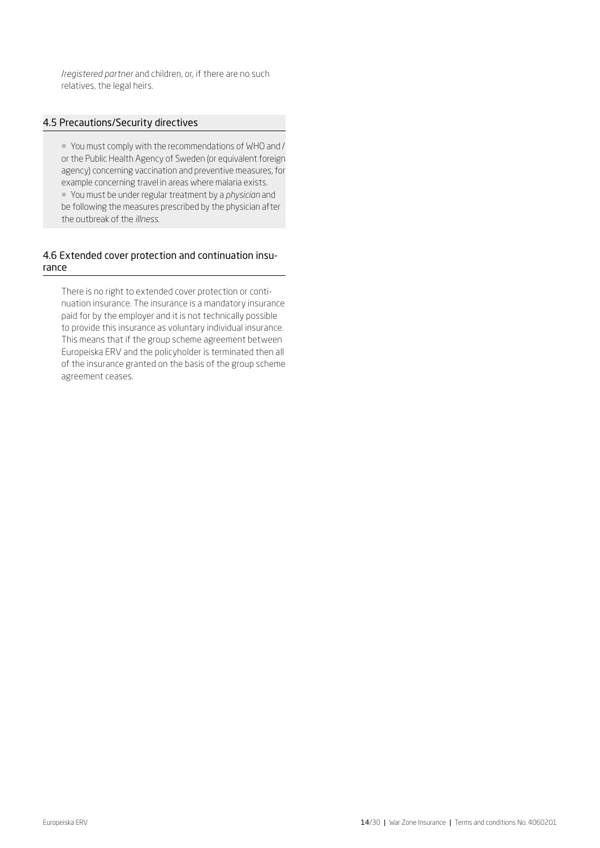/*registered partner* and children, or, if there are no such relatives, the legal heirs.

## 4.5 Precautions/Security directives

¡ You must comply with the recommendations of WHO and / or the Public Health Agency of Sweden (or equivalent foreign agency) concerning vaccination and preventive measures, for example concerning travel in areas where malaria exists. ¡ You must be under regular treatment by a *physician* and be following the measures prescribed by the physician after the outbreak of the *illness*.

## 4.6 Extended cover protection and continuation insurance

There is no right to extended cover protection or continuation insurance. The insurance is a mandatory insurance paid for by the employer and it is not technically possible to provide this insurance as voluntary individual insurance. This means that if the group scheme agreement between Europeiska ERV and the policyholder is terminated then all of the insurance granted on the basis of the group scheme agreement ceases.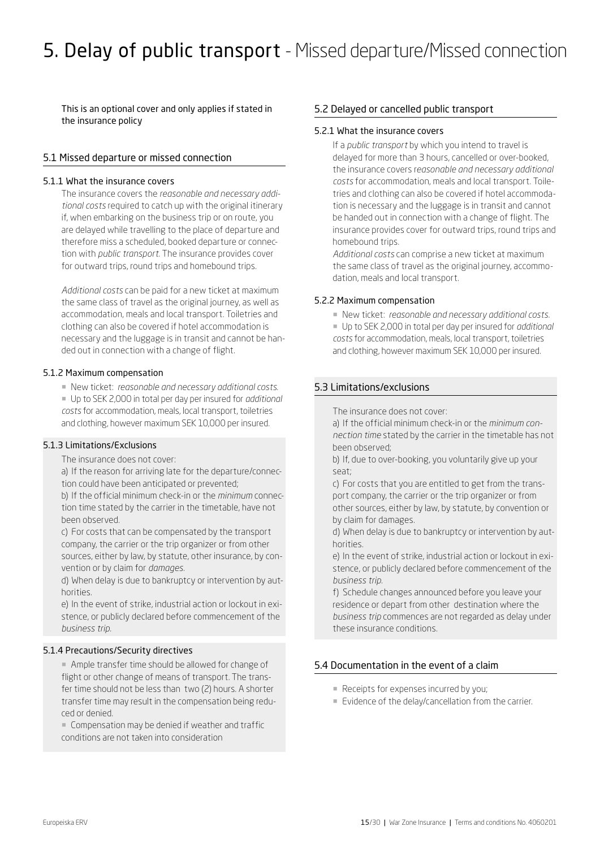## 5. Delay of public transport - Missed departure/Missed connection

This is an optional cover and only applies if stated in the insurance policy

### 5.1 Missed departure or missed connection

#### 5.1.1 What the insurance covers

The insurance covers the *reasonable and necessary additional costs* required to catch up with the original itinerary if, when embarking on the business trip or on route, you are delayed while travelling to the place of departure and therefore miss a scheduled, booked departure or connection with *public transport.* The insurance provides cover for outward trips, round trips and homebound trips.

*Additional costs* can be paid for a new ticket at maximum the same class of travel as the original journey, as well as accommodation, meals and local transport. Toiletries and clothing can also be covered if hotel accommodation is necessary and the luggage is in transit and cannot be handed out in connection with a change of flight.

#### 5.1.2 Maximum compensation

- ¡ New ticket: *reasonable and necessary additional costs*.
- ¡ Up to SEK 2,000 in total per day per insured for *additional costs* for accommodation, meals, local transport, toiletries and clothing, however maximum SEK 10,000 per insured.

#### 5.1.3 Limitations/Exclusions

The insurance does not cover:

a) If the reason for arriving late for the departure/connection could have been anticipated or prevented;

b) If the official minimum check-in or the *minimum* connection time stated by the carrier in the timetable, have not been observed.

c) For costs that can be compensated by the transport company, the carrier or the trip organizer or from other sources, either by law, by statute, other insurance, by convention or by claim for *damages*.

d) When delay is due to bankruptcy or intervention by authorities.

e) In the event of strike, industrial action or lockout in existence, or publicly declared before commencement of the *business trip.*

#### 5.1.4 Precautions/Security directives

¡ Ample transfer time should be allowed for change of flight or other change of means of transport. The transfer time should not be less than two (2) hours. A shorter transfer time may result in the compensation being reduced or denied.

■ Compensation may be denied if weather and traffic conditions are not taken into consideration

#### 5.2 Delayed or cancelled public transport

#### 5.2.1 What the insurance covers

If a *public transport* by which you intend to travel is delayed for more than 3 hours, cancelled or over-booked, the insurance covers r*easonable and necessary additional costs* for accommodation, meals and local transport. Toiletries and clothing can also be covered if hotel accommodation is necessary and the luggage is in transit and cannot be handed out in connection with a change of flight. The insurance provides cover for outward trips, round trips and homebound trips.

*Additional costs* can comprise a new ticket at maximum the same class of travel as the original journey, accommodation, meals and local transport.

#### 5.2.2 Maximum compensation

- ¡ New ticket: *reasonable and necessary additional costs.*
- ¡ Up to SEK 2,000 in total per day per insured for *additional costs* for accommodation, meals, local transport, toiletries and clothing, however maximum SEK 10,000 per insured.

### 5.3 Limitations/exclusions

The insurance does not cover:

a) If the official minimum check-in or the *minimum connection time* stated by the carrier in the timetable has not been observed;

b) If, due to over-booking, you voluntarily give up your seat;

c) For costs that you are entitled to get from the transport company, the carrier or the trip organizer or from other sources, either by law, by statute, by convention or by claim for damages.

d) When delay is due to bankruptcy or intervention by authorities.

e) In the event of strike, industrial action or lockout in existence, or publicly declared before commencement of the *business trip.*

f) Schedule changes announced before you leave your residence or depart from other destination where the *business trip* commences are not regarded as delay under these insurance conditions.

## 5.4 Documentation in the event of a claim

- Receipts for expenses incurred by you;
- **Evidence of the delay/cancellation from the carrier.**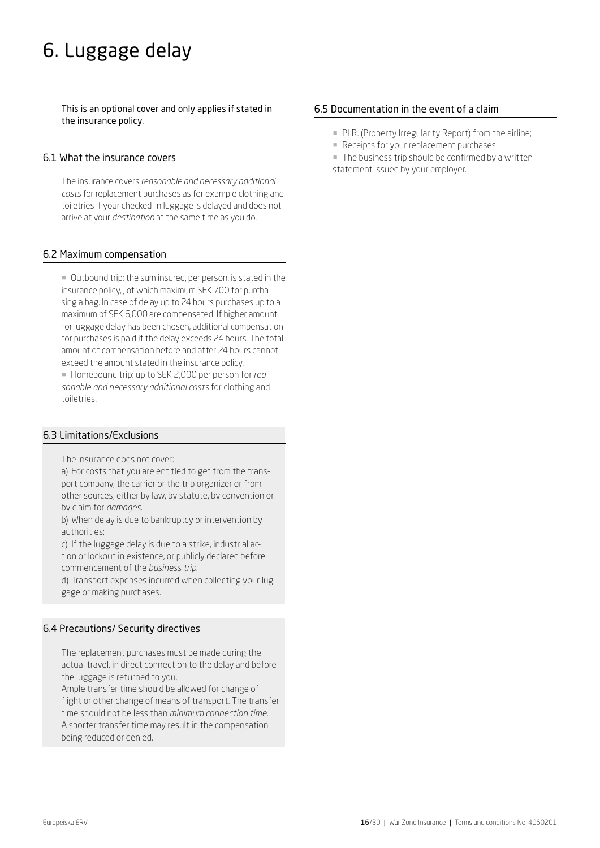## 6. Luggage delay

This is an optional cover and only applies if stated in the insurance policy.

#### 6.1 What the insurance covers

The insurance covers *reasonable and necessary additional costs* for replacement purchases as for example clothing and toiletries if your checked-in luggage is delayed and does not arrive at your *destination* at the same time as you do.

### 6.2 Maximum compensation

¡ Outbound trip: the sum insured, per person, is stated in the insurance policy, , of which maximum SEK 700 for purchasing a bag. In case of delay up to 24 hours purchases up to a maximum of SEK 6,000 are compensated. If higher amount for luggage delay has been chosen, additional compensation for purchases is paid if the delay exceeds 24 hours. The total amount of compensation before and after 24 hours cannot exceed the amount stated in the insurance policy.

¡ Homebound trip: up to SEK 2,000 per person for *reasonable and necessary additional costs* for clothing and toiletries.

## 6.3 Limitations/Exclusions

The insurance does not cover:

a) For costs that you are entitled to get from the transport company, the carrier or the trip organizer or from other sources, either by law, by statute, by convention or by claim for *damages*.

b) When delay is due to bankruptcy or intervention by authorities;

c) If the luggage delay is due to a strike, industrial action or lockout in existence, or publicly declared before commencement of the *business trip*.

d) Transport expenses incurred when collecting your luggage or making purchases.

## 6.4 Precautions/ Security directives

The replacement purchases must be made during the actual travel, in direct connection to the delay and before the luggage is returned to you.

Ample transfer time should be allowed for change of flight or other change of means of transport. The transfer time should not be less than *minimum connection time.*  A shorter transfer time may result in the compensation being reduced or denied.

## 6.5 Documentation in the event of a claim

- P.I.R. (Property Irregularity Report) from the airline;
- **Receipts for your replacement purchases**
- **The business trip should be confirmed by a written** statement issued by your employer.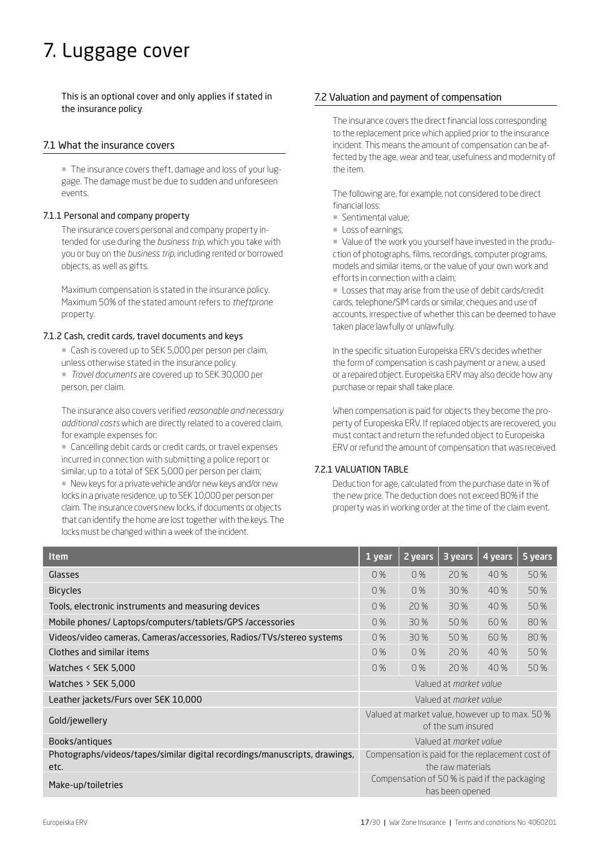## 7. Luggage cover

This is an optional cover and only applies if stated in the insurance policy.

## 7.1 What the insurance covers

¡ The insurance covers theft, damage and loss of your luggage. The damage must be due to sudden and unforeseen events.

#### 7.1.1 Personal and company property

The insurance covers personal and company property intended for use during the *business trip*, which you take with you or buy on the *business trip*, including rented or borrowed objects, as well as gifts.

Maximum compensation is stated in the insurance policy. Maximum 50% of the stated amount refers to *theftprone* property.

#### 7.1.2 Cash, credit cards, travel documents and keys

■ Cash is covered up to SEK 5,000 per person per claim, unless otherwise stated in the insurance policy.

¡ *Travel documents* are covered up to SEK 30,000 per person, per claim.

The insurance also covers verified *reasonable and necessary additional costs* which are directly related to a covered claim, for example expenses for:

■ Cancelling debit cards or credit cards, or travel expenses incurred in connection with submitting a police report or similar, up to a total of SEK 5,000 per person per claim;

■ New keys for a private vehicle and/or new keys and/or new locks in a private residence, up to SEK 10,000 per person per claim. The insurance covers new locks, if documents or objects that can identify the home are lost together with the keys. The locks must be changed within a week of the incident.

## 7.2 Valuation and payment of compensation

The insurance covers the direct financial loss corresponding to the replacement price which applied prior to the insurance incident. This means the amount of compensation can be affected by the age, wear and tear, usefulness and modernity of the item.

The following are, for example, not considered to be direct financial loss:

- ¡ Sentimental value;
- **Loss of earnings;**

¡ Value of the work you yourself have invested in the production of photographs, films, recordings, computer programs, models and similar items, or the value of your own work and efforts in connection with a claim;

¡ Losses that may arise from the use of debit cards/credit cards, telephone/SIM cards or similar, cheques and use of accounts, irrespective of whether this can be deemed to have taken place lawfully or unlawfully.

In the specific situation Europeiska ERV's decides whether the form of compensation is cash payment or a new, a used or a repaired object. Europeiska ERV may also decide how any purchase or repair shall take place.

When compensation is paid for objects they become the property of Europeiska ERV. If replaced objects are recovered, you must contact and return the refunded object to Europeiska ERV or refund the amount of compensation that was received.

#### 7.2.1 VALUATION TABLE

Deduction for age, calculated from the purchase date in % of the new price. The deduction does not exceed 80% if the property was in working order at the time of the claim event.

| <b>Item</b>                                                                        | 1 year                                                                | 2 years                | 3 years | 4 years | 5 years |
|------------------------------------------------------------------------------------|-----------------------------------------------------------------------|------------------------|---------|---------|---------|
| Glasses                                                                            | 0%                                                                    | 0%                     | 20 %    | 40 %    | 50 %    |
| <b>Bicycles</b>                                                                    | 0%                                                                    | 0%                     | 30 %    | 40%     | 50%     |
| Tools, electronic instruments and measuring devices                                | 0%                                                                    | 20 %                   | 30 %    | 40 %    | 50%     |
| Mobile phones/ Laptops/computers/tablets/GPS /accessories                          | 0%                                                                    | 30%                    | 50 %    | 60 %    | 80%     |
| Videos/video cameras, Cameras/accessories, Radios/TVs/stereo systems               | 0%                                                                    | 30 %                   | 50%     | 60%     | 80%     |
| Clothes and similar items                                                          | 0%                                                                    | 0%                     | 20 %    | 40 %    | 50 %    |
| Watches < SEK 5,000                                                                | 0%                                                                    | 0%                     | 20 %    | 40 %    | 50 %    |
| Watches $>$ SEK 5,000                                                              | Valued at <i>market value</i>                                         |                        |         |         |         |
| Leather jackets/Furs over SEK 10,000                                               | Valued at <i>morket volue</i>                                         |                        |         |         |         |
| Gold/jewellery                                                                     | Valued at market value, however up to max. 50 %<br>of the sum insured |                        |         |         |         |
| Books/antiques                                                                     |                                                                       | Valued at market value |         |         |         |
| Photographs/videos/tapes/similar digital recordings/manuscripts, drawings,<br>etc. | Compensation is paid for the replacement cost of<br>the raw materials |                        |         |         |         |
| Make-up/toiletries                                                                 | Compensation of 50 % is paid if the packaging<br>has been opened      |                        |         |         |         |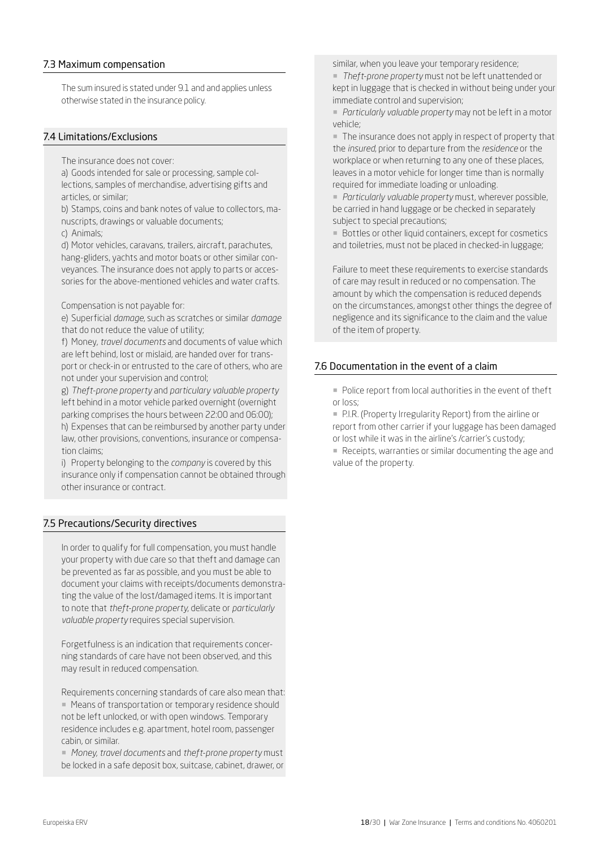## 7.3 Maximum compensation

The sum insured is stated under 9.1 and and applies unless otherwise stated in the insurance policy.

## 7.4 Limitations/Exclusions

The insurance does not cover:

a) Goods intended for sale or processing, sample collections, samples of merchandise, advertising gifts and articles, or similar;

b) Stamps, coins and bank notes of value to collectors, manuscripts, drawings or valuable documents;

c) Animals;

d) Motor vehicles, caravans, trailers, aircraft, parachutes, hang-gliders, yachts and motor boats or other similar conveyances. The insurance does not apply to parts or accessories for the above-mentioned vehicles and water crafts.

Compensation is not payable for:

e) Superficial *damage*, such as scratches or similar *damage* that do not reduce the value of utility;

f) Money, *travel documents* and documents of value which are left behind, lost or mislaid, are handed over for transport or check-in or entrusted to the care of others, who are not under your supervision and control;

g) *Theft-prone property* and *particulary valuable property* left behind in a motor vehicle parked overnight (overnight parking comprises the hours between 22:00 and 06:00); h) Expenses that can be reimbursed by another party under law, other provisions, conventions, insurance or compensation claims;

i) Property belonging to the *company* is covered by this insurance only if compensation cannot be obtained through other insurance or contract.

## 7.5 Precautions/Security directives

In order to qualify for full compensation, you must handle your property with due care so that theft and damage can be prevented as far as possible, and you must be able to document your claims with receipts/documents demonstrating the value of the lost/damaged items. It is important to note that *theft-prone property*, delicate or *particularly valuable property* requires special supervision.

Forgetfulness is an indication that requirements concerning standards of care have not been observed, and this may result in reduced compensation.

Requirements concerning standards of care also mean that: ■ Means of transportation or temporary residence should not be left unlocked, or with open windows. Temporary residence includes e.g. apartment, hotel room, passenger cabin, or similar.

¡ *Money*, *travel documents* and *theft-prone property* must be locked in a safe deposit box, suitcase, cabinet, drawer, or similar, when you leave your temporary residence;

¡ *Theft-prone property* must not be left unattended or kept in luggage that is checked in without being under your immediate control and supervision;

¡ *Particularly valuable property* may not be left in a motor vehicle;

¡ The insurance does not apply in respect of property that the *insured*, prior to departure from the *residence* or the workplace or when returning to any one of these places, leaves in a motor vehicle for longer time than is normally required for immediate loading or unloading.

¡ *Particularly valuable property* must, wherever possible, be carried in hand luggage or be checked in separately subject to special precautions;

**• Bottles or other liquid containers, except for cosmetics** and toiletries, must not be placed in checked-in luggage;

Failure to meet these requirements to exercise standards of care may result in reduced or no compensation. The amount by which the compensation is reduced depends on the circumstances, amongst other things the degree of negligence and its significance to the claim and the value of the item of property.

## 7.6 Documentation in the event of a claim

¡ Police report from local authorities in the event of theft or loss;

¡ P.I.R. (Property Irregularity Report) from the airline or report from other carrier if your luggage has been damaged or lost while it was in the airline's /carrier's custody;

¡ Receipts, warranties or similar documenting the age and value of the property.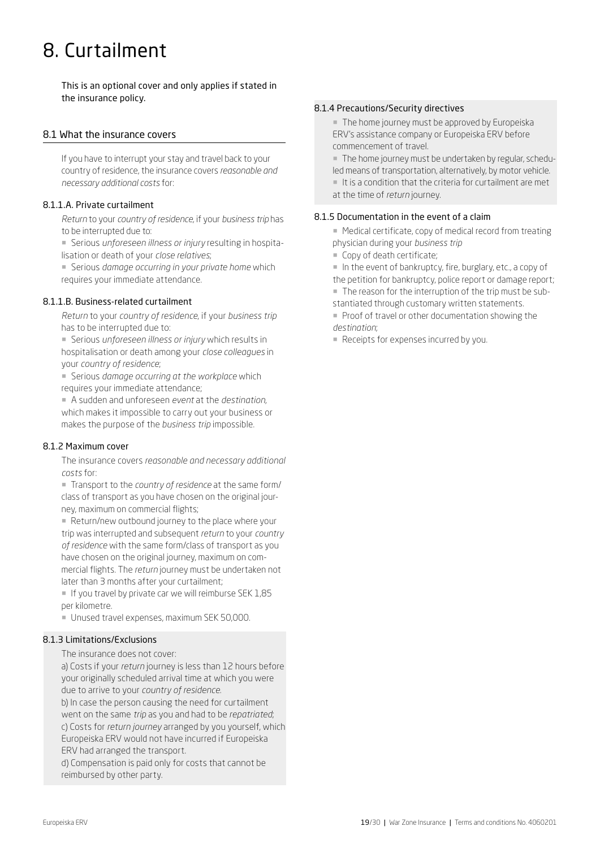## 8. Curtailment

This is an optional cover and only applies if stated in the insurance policy.

## 8.1 What the insurance covers

If you have to interrupt your stay and travel back to your country of residence, the insurance covers *reasonable and necessary additional costs* for:

#### 8.1.1.A. Private curtailment

*Return* to your *country of residence*, if your *business trip* has to be interrupted due to:

¡ Serious *unforeseen illness or injury* resulting in hospitalisation or death of your *close relatives*;

¡ Serious *damage occurring in your private home* which requires your immediate attendance.

#### 8.1.1.B. Business-related curtailment

*Return* to your *country of residence*, if your *business trip* has to be interrupted due to:

¡ Serious *unforeseen illness or injury* which results in hospitalisation or death among your *close colleagues* in your *country of residence*;

¡ Serious *damage occurring at the workplace* which requires your immediate attendance;

¡ A sudden and unforeseen *event* at the *destination*, which makes it impossible to carry out your business or makes the purpose of the *business trip* impossible.

#### 8.1.2 Maximum cover

The insurance covers *reasonable and necessary additional costs* for:

¡ Transport to the *country of residence* at the same form/ class of transport as you have chosen on the original journey, maximum on commercial flights;

**E** Return/new outbound journey to the place where your trip was interrupted and subsequent *return* to your *country of residence* with the same form/class of transport as you have chosen on the original journey, maximum on commercial flights. The *return* journey must be undertaken not later than 3 months after your curtailment;

 $\blacksquare$  If you travel by private car we will reimburse SEK 1,85 per kilometre.

¡ Unused travel expenses, maximum SEK 50,000.

## 8.1.3 Limitations/Exclusions

#### The insurance does not cover:

a) Costs if your *return* journey is less than 12 hours before your originally scheduled arrival time at which you were due to arrive to your *country of residence*.

b) In case the person causing the need for curtailment went on the same *trip* as you and had to be *repatriated*; c) Costs for *return journey* arranged by you yourself, which Europeiska ERV would not have incurred if Europeiska ERV had arranged the transport.

d) Compensation is paid only for costs that cannot be reimbursed by other party.

#### 8.1.4 Precautions/Security directives

■ The home journey must be approved by Europeiska ERV's assistance company or Europeiska ERV before commencement of travel.

¡ The home journey must be undertaken by regular, scheduled means of transportation, alternatively, by motor vehicle.

 $\blacksquare$  It is a condition that the criteria for curtailment are met at the time of *return* journey.

### 8.1.5 Documentation in the event of a claim

■ Medical certificate, copy of medical record from treating physician during your *business trip*

- Copy of death certificate:
- ¡ In the event of bankruptcy, fire, burglary, etc., a copy of
- the petition for bankruptcy, police report or damage report;
- ¡ The reason for the interruption of the trip must be substantiated through customary written statements.
- Proof of travel or other documentation showing the *destination*;
- Receipts for expenses incurred by you.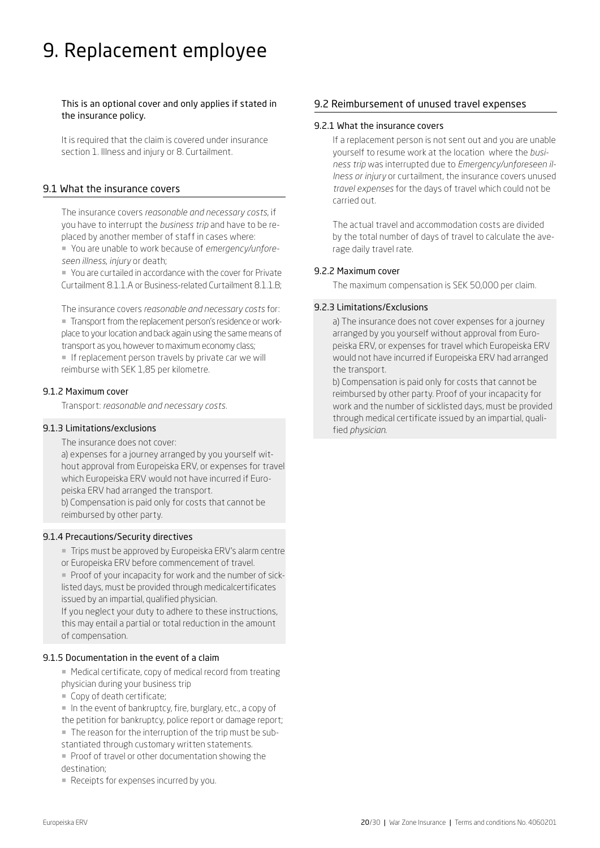## 9. Replacement employee

This is an optional cover and only applies if stated in the insurance policy.

It is required that the claim is covered under insurance section 1. Illness and injury or 8. Curtailment.

## 9.1 What the insurance covers

The insurance covers *reasonable and necessary costs*, if you have to interrupt the *business trip* and have to be replaced by another member of staff in cases where: ¡ You are unable to work because of *emergency/unforeseen illness*, *injury* or death;

¡ You are curtailed in accordance with the cover for Private Curtailment 8.1.1.A or Business-related Curtailment 8.1.1.B;

The insurance covers *reasonable and necessary costs* for: ¡ Transport from the replacement person's residence or workplace to your location and back again using the same means of transport as you, however to maximum economy class;

**If replacement person travels by private car we will** reimburse with SEK 1,85 per kilometre.

## 9.1.2 Maximum cover

Transport: *reasonable and necessary costs.* 

## 9.1.3 Limitations/exclusions

The insurance does not cover:

a) expenses for a journey arranged by you yourself without approval from Europeiska ERV, or expenses for travel which Europeiska ERV would not have incurred if Europeiska ERV had arranged the transport. b) Compensation is paid only for costs that cannot be reimbursed by other party.

#### 9.1.4 Precautions/Security directives

¡ Trips must be approved by Europeiska ERV's alarm centre or Europeiska ERV before commencement of travel.

¡ Proof of your incapacity for work and the number of sicklisted days, must be provided through medicalcertificates issued by an impartial, qualified physician.

If you neglect your duty to adhere to these instructions, this may entail a partial or total reduction in the amount of compensation.

#### 9.1.5 Documentation in the event of a claim

- Medical certificate, copy of medical record from treating physician during your business trip
- ¡ Copy of death certificate;
- ¡ In the event of bankruptcy, fire, burglary, etc., a copy of
- the petition for bankruptcy, police report or damage report;
- ¡ The reason for the interruption of the trip must be sub-
- stantiated through customary written statements.
- Proof of travel or other documentation showing the destination;
- Receipts for expenses incurred by you.

## 9.2 Reimbursement of unused travel expenses

## 9.2.1 What the insurance covers

If a replacement person is not sent out and you are unable yourself to resume work at the location where the *business trip* was interrupted due to *Emergency/unforeseen illness or injury* or curtailment, the insurance covers unused *travel expenses* for the days of travel which could not be carried out.

The actual travel and accommodation costs are divided by the total number of days of travel to calculate the average daily travel rate.

#### 9.2.2 Maximum cover

The maximum compensation is SEK 50,000 per claim.

### 9.2.3 Limitations/Exclusions

a) The insurance does not cover expenses for a journey arranged by you yourself without approval from Europeiska ERV, or expenses for travel which Europeiska ERV would not have incurred if Europeiska ERV had arranged the transport.

b) Compensation is paid only for costs that cannot be reimbursed by other party. Proof of your incapacity for work and the number of sicklisted days, must be provided through medical certificate issued by an impartial, qualified *physician*.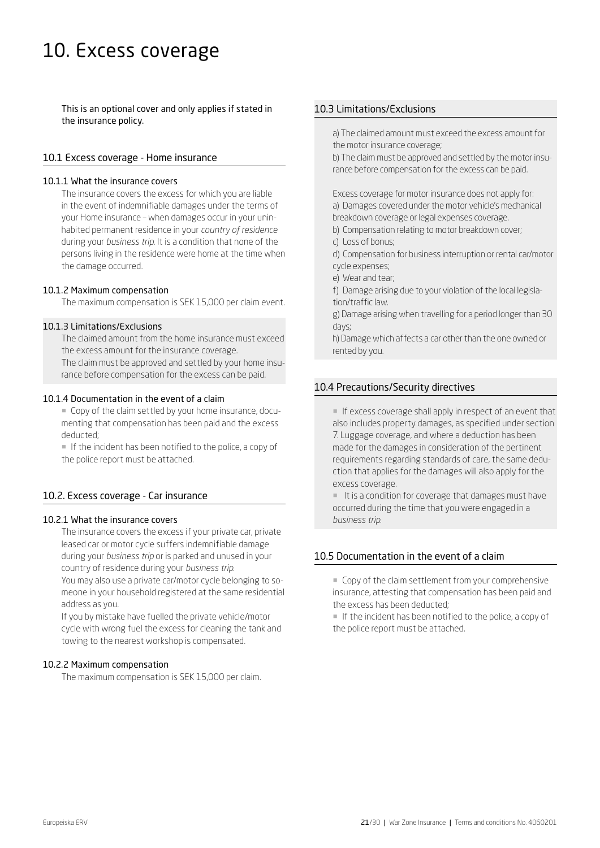## 10. Excess coverage

This is an optional cover and only applies if stated in the insurance policy.

### 10.1 Excess coverage - Home insurance

#### 10.1.1 What the insurance covers

The insurance covers the excess for which you are liable in the event of indemnifiable damages under the terms of your Home insurance – when damages occur in your uninhabited permanent residence in your *country of residence*  during your *business trip*. It is a condition that none of the persons living in the residence were home at the time when the damage occurred.

#### 10.1.2 Maximum compensation

The maximum compensation is SEK 15,000 per claim event.

## 10.1.3 Limitations/Exclusions

The claimed amount from the home insurance must exceed the excess amount for the insurance coverage. The claim must be approved and settled by your home insu-

rance before compensation for the excess can be paid.

#### 10.1.4 Documentation in the event of a claim

¡ Copy of the claim settled by your home insurance, documenting that compensation has been paid and the excess deducted;

¡ If the incident has been notified to the police, a copy of the police report must be attached.

## 10.2. Excess coverage - Car insurance

#### 10.2.1 What the insurance covers

The insurance covers the excess if your private car, private leased car or motor cycle suffers indemnifiable damage during your *business trip* or is parked and unused in your country of residence during your *business trip*. You may also use a private car/motor cycle belonging to someone in your household registered at the same residential address as you.

If you by mistake have fuelled the private vehicle/motor cycle with wrong fuel the excess for cleaning the tank and towing to the nearest workshop is compensated.

#### 10.2.2 Maximum compensation

The maximum compensation is SEK 15,000 per claim.

## 10.3 Limitations/Exclusions

a) The claimed amount must exceed the excess amount for the motor insurance coverage;

b) The claim must be approved and settled by the motor insurance before compensation for the excess can be paid.

Excess coverage for motor insurance does not apply for: a) Damages covered under the motor vehicle's mechanical breakdown coverage or legal expenses coverage.

- b) Compensation relating to motor breakdown cover;
- c) Loss of bonus;
- d) Compensation for business interruption or rental car/motor cycle expenses;
- e) Wear and tear;
- f) Damage arising due to your violation of the local legislation/traffic law.

g) Damage arising when travelling for a period longer than 30 days;

h) Damage which affects a car other than the one owned or rented by you.

### 10.4 Precautions/Security directives

¡ If excess coverage shall apply in respect of an event that also includes property damages, as specified under section 7. Luggage coverage, and where a deduction has been made for the damages in consideration of the pertinent requirements regarding standards of care, the same deduction that applies for the damages will also apply for the excess coverage.

¡ It is a condition for coverage that damages must have occurred during the time that you were engaged in a *business trip*.

## 10.5 Documentation in the event of a claim

¡ Copy of the claim settlement from your comprehensive insurance, attesting that compensation has been paid and the excess has been deducted;

¡ If the incident has been notified to the police, a copy of the police report must be attached.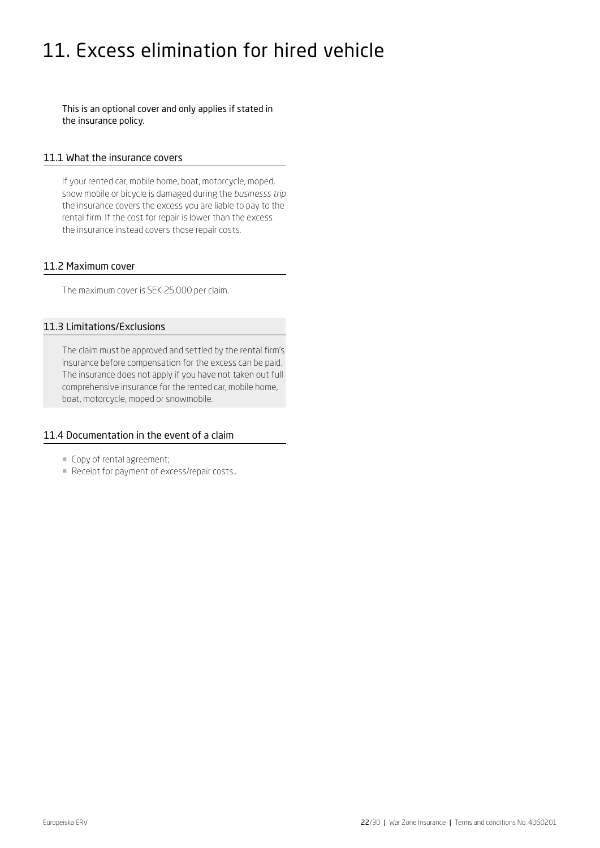## 11. Excess elimination for hired vehicle

This is an optional cover and only applies if stated in the insurance policy.

### 11.1 What the insurance covers

If your rented car, mobile home, boat, motorcycle, moped, snow mobile or bicycle is damaged during the *businesss trip* the insurance covers the excess you are liable to pay to the rental firm. If the cost for repair is lower than the excess the insurance instead covers those repair costs.

## 11.2 Maximum cover

The maximum cover is SEK 25,000 per claim.

## 11.3 Limitations/Exclusions

The claim must be approved and settled by the rental firm's insurance before compensation for the excess can be paid. The insurance does not apply if you have not taken out full comprehensive insurance for the rented car, mobile home, boat, motorcycle, moped or snowmobile.

#### 11.4 Documentation in the event of a claim

- ¡ Copy of rental agreement;
- ¡ Receipt for payment of excess/repair costs..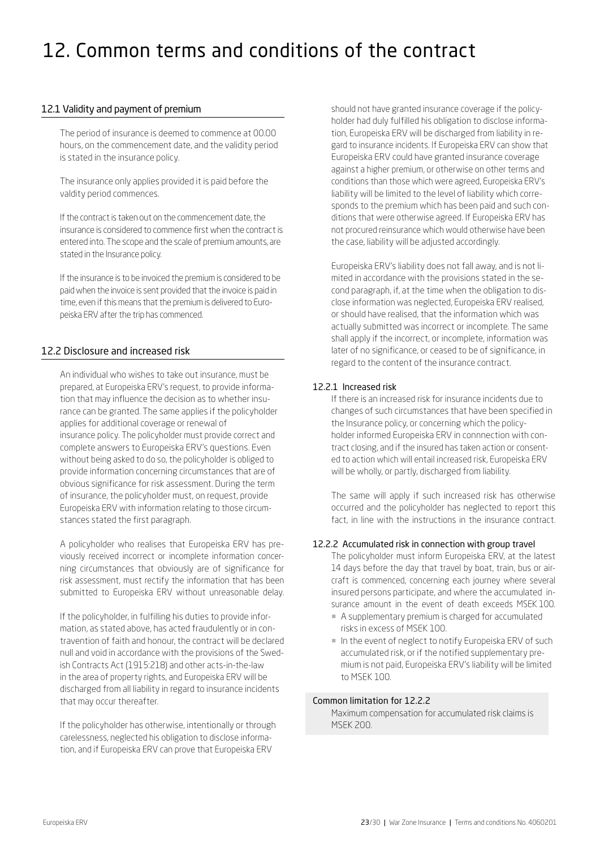## 12. Common terms and conditions of the contract

## 12.1 Validity and payment of premium

The period of insurance is deemed to commence at 00.00 hours, on the commencement date, and the validity period is stated in the insurance policy.

The insurance only applies provided it is paid before the valdity period commences.

If the contract is taken out on the commencement date, the insurance is considered to commence first when the contract is entered into. The scope and the scale of premium amounts, are stated in the Insurance policy.

If the insurance is to be invoiced the premium is considered to be paid when the invoice is sent provided that the invoice is paid in time, even if this means that the premium is delivered to Europeiska ERV after the trip has commenced.

## 12.2 Disclosure and increased risk

An individual who wishes to take out insurance, must be prepared, at Europeiska ERV's request, to provide information that may influence the decision as to whether insurance can be granted. The same applies if the policyholder applies for additional coverage or renewal of insurance policy. The policyholder must provide correct and complete answers to Europeiska ERV's questions. Even without being asked to do so, the policyholder is obliged to provide information concerning circumstances that are of obvious significance for risk assessment. During the term of insurance, the policyholder must, on request, provide Europeiska ERV with information relating to those circumstances stated the first paragraph.

A policyholder who realises that Europeiska ERV has previously received incorrect or incomplete information concerning circumstances that obviously are of significance for risk assessment, must rectify the information that has been submitted to Europeiska ERV without unreasonable delay.

If the policyholder, in fulfilling his duties to provide information, as stated above, has acted fraudulently or in contravention of faith and honour, the contract will be declared null and void in accordance with the provisions of the Swedish Contracts Act (1915:218) and other acts-in-the-law in the area of property rights, and Europeiska ERV will be discharged from all liability in regard to insurance incidents that may occur thereafter.

If the policyholder has otherwise, intentionally or through carelessness, neglected his obligation to disclose information, and if Europeiska ERV can prove that Europeiska ERV

should not have granted insurance coverage if the policyholder had duly fulfilled his obligation to disclose information, Europeiska ERV will be discharged from liability in regard to insurance incidents. If Europeiska ERV can show that Europeiska ERV could have granted insurance coverage against a higher premium, or otherwise on other terms and conditions than those which were agreed, Europeiska ERV's liability will be limited to the level of liability which corresponds to the premium which has been paid and such conditions that were otherwise agreed. If Europeiska ERV has not procured reinsurance which would otherwise have been the case, liability will be adjusted accordingly.

Europeiska ERV's liability does not fall away, and is not limited in accordance with the provisions stated in the second paragraph, if, at the time when the obligation to disclose information was neglected, Europeiska ERV realised, or should have realised, that the information which was actually submitted was incorrect or incomplete. The same shall apply if the incorrect, or incomplete, information was later of no significance, or ceased to be of significance, in regard to the content of the insurance contract.

## 12.2.1 Increased risk

If there is an increased risk for insurance incidents due to changes of such circumstances that have been specified in the Insurance policy, or concerning which the policyholder informed Europeiska ERV in connnection with contract closing, and if the insured has taken action or consented to action which will entail increased risk, Europeiska ERV will be wholly, or partly, discharged from liability.

The same will apply if such increased risk has otherwise occurred and the policyholder has neglected to report this fact, in line with the instructions in the insurance contract.

#### 12.2.2 Accumulated risk in connection with group travel

The policyholder must inform Europeiska ERV, at the latest 14 days before the day that travel by boat, train, bus or aircraft is commenced, concerning each journey where several insured persons participate, and where the accumulated insurance amount in the event of death exceeds MSEK 100.

- ¡ A supplementary premium is charged for accumulated risks in excess of MSEK 100.
- ¡ In the event of neglect to notify Europeiska ERV of such accumulated risk, or if the notified supplementary premium is not paid, Europeiska ERV's liability will be limited to MSEK 100.

#### Common limitation for 12.2.2

Maximum compensation for accumulated risk claims is MSEK 200.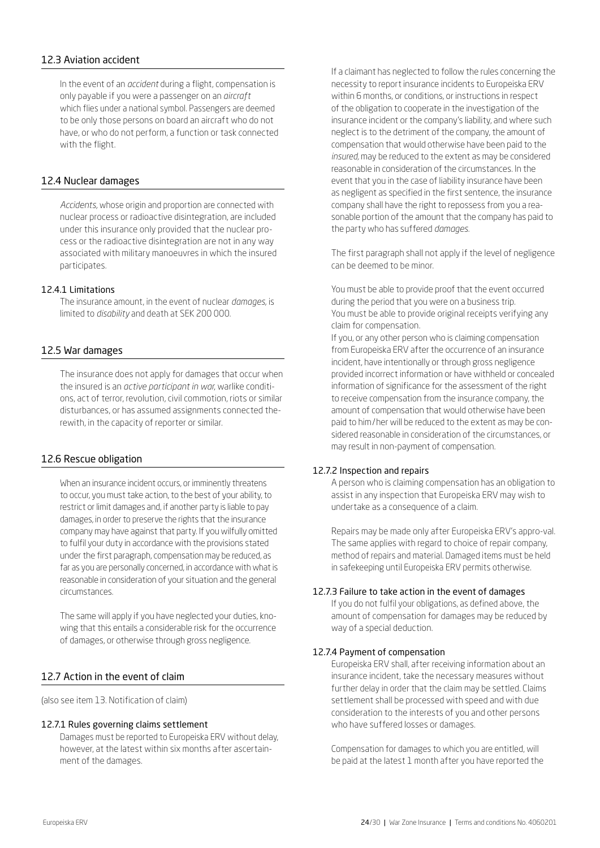## 12.3 Aviation accident

In the event of an *accident* during a flight, compensation is only payable if you were a passenger on an *aircraft* which flies under a national symbol. Passengers are deemed to be only those persons on board an aircraft who do not have, or who do not perform, a function or task connected with the flight.

### 12.4 Nuclear damages

*Accidents,* whose origin and proportion are connected with nuclear process or radioactive disintegration, are included under this insurance only provided that the nuclear process or the radioactive disintegration are not in any way associated with military manoeuvres in which the insured participates.

#### 12.4.1 Limitations

The insurance amount, in the event of nuclear *damages*, is limited to *disability* and death at SEK 200 000.

#### 12.5 War damages

The insurance does not apply for damages that occur when the insured is an *active participant in war*, warlike conditions, act of terror, revolution, civil commotion, riots or similar disturbances, or has assumed assignments connected therewith, in the capacity of reporter or similar.

### 12.6 Rescue obligation

When an insurance incident occurs, or imminently threatens to occur, you must take action, to the best of your ability, to restrict or limit damages and, if another party is liable to pay damages, in order to preserve the rights that the insurance company may have against that party. If you wilfully omitted to fulfil your duty in accordance with the provisions stated under the first paragraph, compensation may be reduced, as far as you are personally concerned, in accordance with what is reasonable in consideration of your situation and the general circumstances.

The same will apply if you have neglected your duties, knowing that this entails a considerable risk for the occurrence of damages, or otherwise through gross negligence.

#### 12.7 Action in the event of claim

(also see item 13. Notification of claim)

#### 12.7.1 Rules governing claims settlement

Damages must be reported to Europeiska ERV without delay, however, at the latest within six months after ascertainment of the damages.

If a claimant has neglected to follow the rules concerning the necessity to report insurance incidents to Europeiska ERV within 6 months, or conditions, or instructions in respect of the obligation to cooperate in the investigation of the insurance incident or the company's liability, and where such neglect is to the detriment of the company, the amount of compensation that would otherwise have been paid to the *insured,* may be reduced to the extent as may be considered reasonable in consideration of the circumstances. In the event that you in the case of liability insurance have been as negligent as specified in the first sentence, the insurance company shall have the right to repossess from you a reasonable portion of the amount that the company has paid to the party who has suffered *damages*.

The first paragraph shall not apply if the level of negligence can be deemed to be minor.

You must be able to provide proof that the event occurred during the period that you were on a business trip. You must be able to provide original receipts verifying any claim for compensation.

If you, or any other person who is claiming compensation from Europeiska ERV after the occurrence of an insurance incident, have intentionally or through gross negligence provided incorrect information or have withheld or concealed information of significance for the assessment of the right to receive compensation from the insurance company, the amount of compensation that would otherwise have been paid to him/her will be reduced to the extent as may be considered reasonable in consideration of the circumstances, or may result in non-payment of compensation.

#### 12.7.2 Inspection and repairs

A person who is claiming compensation has an obligation to assist in any inspection that Europeiska ERV may wish to undertake as a consequence of a claim.

Repairs may be made only after Europeiska ERV's appro-val. The same applies with regard to choice of repair company, method of repairs and material. Damaged items must be held in safekeeping until Europeiska ERV permits otherwise.

### 12.7.3 Failure to take action in the event of damages

If you do not fulfil your obligations, as defined above, the amount of compensation for damages may be reduced by way of a special deduction.

#### 12.7.4 Payment of compensation

Europeiska ERV shall, after receiving information about an insurance incident, take the necessary measures without further delay in order that the claim may be settled. Claims settlement shall be processed with speed and with due consideration to the interests of you and other persons who have suffered losses or damages.

Compensation for damages to which you are entitled, will be paid at the latest 1 month after you have reported the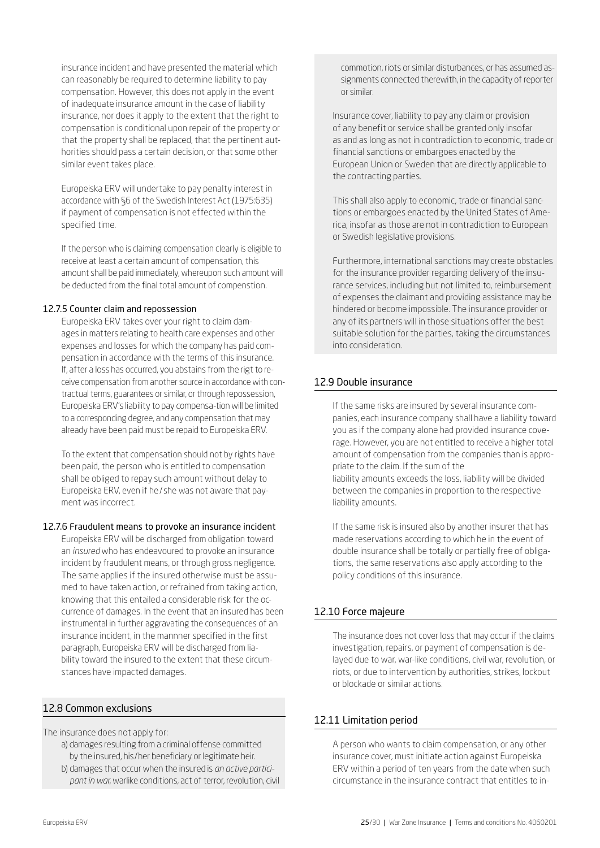insurance incident and have presented the material which can reasonably be required to determine liability to pay compensation. However, this does not apply in the event of inadequate insurance amount in the case of liability insurance, nor does it apply to the extent that the right to compensation is conditional upon repair of the property or that the property shall be replaced, that the pertinent authorities should pass a certain decision, or that some other similar event takes place.

Europeiska ERV will undertake to pay penalty interest in accordance with §6 of the Swedish Interest Act (1975:635) if payment of compensation is not effected within the specified time.

If the person who is claiming compensation clearly is eligible to receive at least a certain amount of compensation, this amount shall be paid immediately, whereupon such amount will be deducted from the final total amount of compenstion.

#### 12.7.5 Counter claim and repossession

Europeiska ERV takes over your right to claim damages in matters relating to health care expenses and other expenses and losses for which the company has paid compensation in accordance with the terms of this insurance. If, after a loss has occurred, you abstains from the rigt to receive compensation from another source in accordance with contractual terms, guarantees or similar, or through repossession, Europeiska ERV's liability to pay compensa-tion will be limited to a corresponding degree, and any compensation that may already have been paid must be repaid to Europeiska ERV.

To the extent that compensation should not by rights have been paid, the person who is entitled to compensation shall be obliged to repay such amount without delay to Europeiska ERV, even if he/ she was not aware that payment was incorrect.

#### 12.7.6 Fraudulent means to provoke an insurance incident

Europeiska ERV will be discharged from obligation toward an *insured* who has endeavoured to provoke an insurance incident by fraudulent means, or through gross negligence. The same applies if the insured otherwise must be assumed to have taken action, or refrained from taking action, knowing that this entailed a considerable risk for the occurrence of damages. In the event that an insured has been instrumental in further aggravating the consequences of an insurance incident, in the mannner specified in the first paragraph, Europeiska ERV will be discharged from liability toward the insured to the extent that these circumstances have impacted damages.

## 12.8 Common exclusions

The insurance does not apply for:

- a) damages resulting from a criminal offense committed by the insured, his/her beneficiary or legitimate heir.
- b) damages that occur when the insured is *an active participant in war*, warlike conditions, act of terror, revolution, civil

commotion, riots or similar disturbances, or has assumed assignments connected therewith, in the capacity of reporter or similar.

Insurance cover, liability to pay any claim or provision of any benefit or service shall be granted only insofar as and as long as not in contradiction to economic, trade or financial sanctions or embargoes enacted by the European Union or Sweden that are directly applicable to the contracting parties.

This shall also apply to economic, trade or financial sanctions or embargoes enacted by the United States of America, insofar as those are not in contradiction to European or Swedish legislative provisions.

Furthermore, international sanctions may create obstacles for the insurance provider regarding delivery of the insurance services, including but not limited to, reimbursement of expenses the claimant and providing assistance may be hindered or become impossible. The insurance provider or any of its partners will in those situations offer the best suitable solution for the parties, taking the circumstances into consideration.

## 12.9 Double insurance

If the same risks are insured by several insurance companies, each insurance company shall have a liability toward you as if the company alone had provided insurance coverage. However, you are not entitled to receive a higher total amount of compensation from the companies than is appropriate to the claim. If the sum of the liability amounts exceeds the loss, liability will be divided between the companies in proportion to the respective liability amounts.

If the same risk is insured also by another insurer that has made reservations according to which he in the event of double insurance shall be totally or partially free of obligations, the same reservations also apply according to the policy conditions of this insurance.

## 12.10 Force majeure

The insurance does not cover loss that may occur if the claims investigation, repairs, or payment of compensation is delayed due to war, war-like conditions, civil war, revolution, or riots, or due to intervention by authorities, strikes, lockout or blockade or similar actions.

## 12.11 Limitation period

A person who wants to claim compensation, or any other insurance cover, must initiate action against Europeiska ERV within a period of ten years from the date when such circumstance in the insurance contract that entitles to in-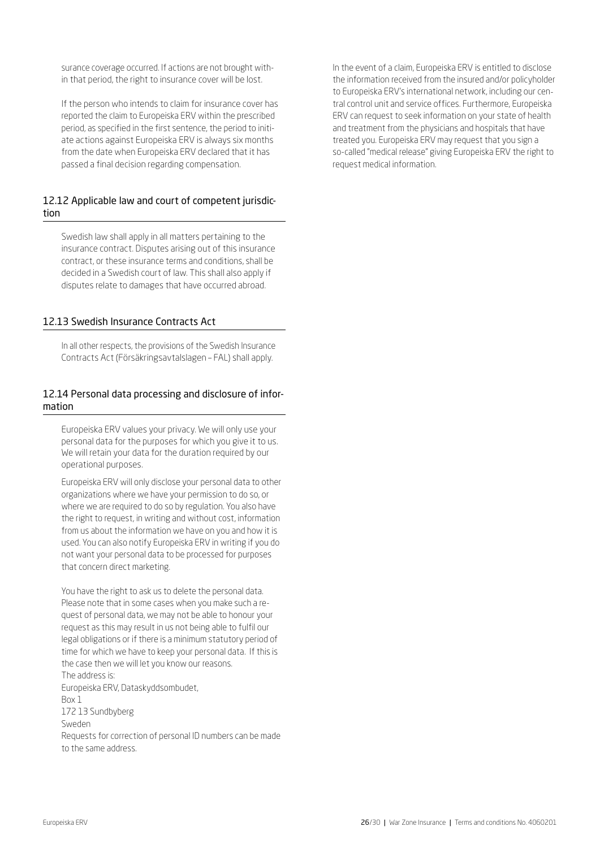surance coverage occurred. If actions are not brought within that period, the right to insurance cover will be lost.

If the person who intends to claim for insurance cover has reported the claim to Europeiska ERV within the prescribed period, as specified in the first sentence, the period to initiate actions against Europeiska ERV is always six months from the date when Europeiska ERV declared that it has passed a final decision regarding compensation.

## 12.12 Applicable law and court of competent jurisdiction

Swedish law shall apply in all matters pertaining to the insurance contract. Disputes arising out of this insurance contract, or these insurance terms and conditions, shall be decided in a Swedish court of law. This shall also apply if disputes relate to damages that have occurred abroad.

## 12.13 Swedish Insurance Contracts Act

In all other respects, the provisions of the Swedish Insurance Contracts Act (Försäkringsavtalslagen – FAL) shall apply.

### 12.14 Personal data processing and disclosure of information

Europeiska ERV values your privacy. We will only use your personal data for the purposes for which you give it to us. We will retain your data for the duration required by our operational purposes.

Europeiska ERV will only disclose your personal data to other organizations where we have your permission to do so, or where we are required to do so by regulation. You also have the right to request, in writing and without cost, information from us about the information we have on you and how it is used. You can also notify Europeiska ERV in writing if you do not want your personal data to be processed for purposes that concern direct marketing.

You have the right to ask us to delete the personal data. Please note that in some cases when you make such a request of personal data, we may not be able to honour your request as this may result in us not being able to fulfil our legal obligations or if there is a minimum statutory period of time for which we have to keep your personal data. If this is the case then we will let you know our reasons. The address is: Europeiska ERV, Dataskyddsombudet, Box 1 172 13 Sundbyberg Sweden Requests for correction of personal ID numbers can be made to the same address.

In the event of a claim, Europeiska ERV is entitled to disclose the information received from the insured and/or policyholder to Europeiska ERV's international network, including our central control unit and service offices. Furthermore, Europeiska ERV can request to seek information on your state of health and treatment from the physicians and hospitals that have treated you. Europeiska ERV may request that you sign a so-called "medical release" giving Europeiska ERV the right to request medical information.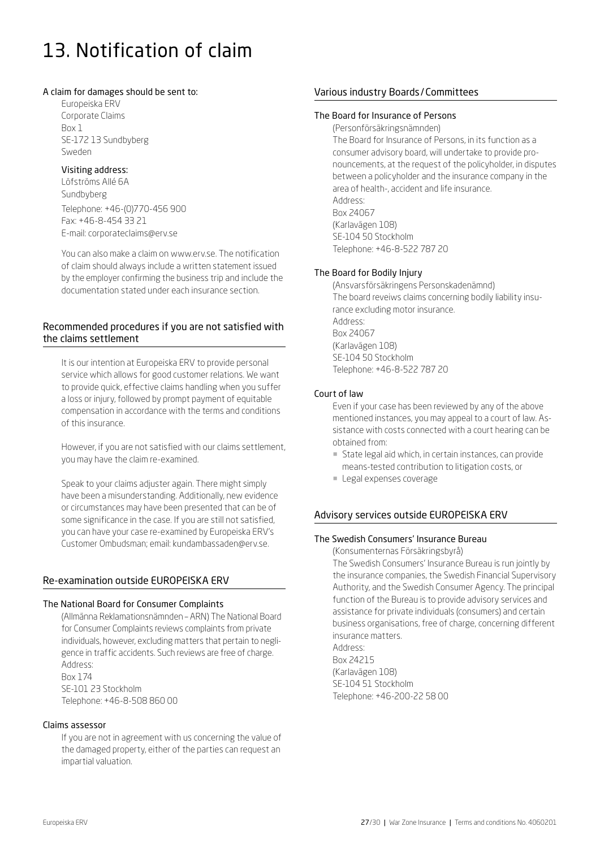## 13. Notification of claim

#### A claim for damages should be sent to:

Europeiska ERV Corporate Claims Box 1 SE-172 13 Sundbyberg Sweden

## Visiting address:

Löfströms Allé 6A Sundbyberg Telephone: +46-(0)770-456 900

Fax: +46-8-454 33 21 E-mail: [corporateclaims@erv.se](mailto:corporateclaims%40erv.se?subject=)

You can also make a claim on [www.erv.se.](https://www.erv.se/foretag/anmal-skada-foretag/) The notification of claim should always include a written statement issued by the employer confirming the business trip and include the documentation stated under each insurance section.

## Recommended procedures if you are not satisfied with the claims settlement

It is our intention at Europeiska ERV to provide personal service which allows for good customer relations. We want to provide quick, effective claims handling when you suffer a loss or injury, followed by prompt payment of equitable compensation in accordance with the terms and conditions of this insurance.

However, if you are not satisfied with our claims settlement, you may have the claim re-examined.

Speak to your claims adjuster again. There might simply have been a misunderstanding. Additionally, new evidence or circumstances may have been presented that can be of some significance in the case. If you are still not satisfied, you can have your case re-examined by Europeiska ERV's Customer Ombudsman; email: kundambassaden@erv.se.

## Re-examination outside EUROPEISKA ERV

## The National Board for Consumer Complaints

(Allmänna Reklamationsnämnden – ARN) The National Board for Consumer Complaints reviews complaints from private individuals, however, excluding matters that pertain to negligence in traffic accidents. Such reviews are free of charge. Address: Box 174 SE-101 23 Stockholm Telephone: +46-8-508 860 00

Claims assessor

If you are not in agreement with us concerning the value of the damaged property, either of the parties can request an impartial valuation.

## Various industry Boards/Committees

#### The Board for Insurance of Persons

(Personförsäkringsnämnden) The Board for Insurance of Persons, in its function as a consumer advisory board, will undertake to provide pronouncements, at the request of the policyholder, in disputes between a policyholder and the insurance company in the area of health-, accident and life insurance. Address: Box 24067 (Karlavägen 108) SE-104 50 Stockholm Telephone: +46-8-522 787 20

## The Board for Bodily Injury

(Ansvarsförsäkringens Personskadenämnd) The board reveiws claims concerning bodily liability insurance excluding motor insurance. Address: Box 24067 (Karlavägen 108) SE-104 50 Stockholm Telephone: +46-8-522 787 20

## Court of law

Even if your case has been reviewed by any of the above mentioned instances, you may appeal to a court of law. Assistance with costs connected with a court hearing can be obtained from:

- ¡ State legal aid which, in certain instances, can provide means-tested contribution to litigation costs, or
- **Legal expenses coverage**

## Advisory services outside EUROPEISKA ERV

#### The Swedish Consumers' Insurance Bureau

(Konsumenternas Försäkringsbyrå)

The Swedish Consumers' Insurance Bureau is run jointly by the insurance companies, the Swedish Financial Supervisory Authority, and the Swedish Consumer Agency. The principal function of the Bureau is to provide advisory services and assistance for private individuals (consumers) and certain business organisations, free of charge, concerning different insurance matters. Address: Box 24215

(Karlavägen 108) SE-104 51 Stockholm Telephone: +46-200-22 58 00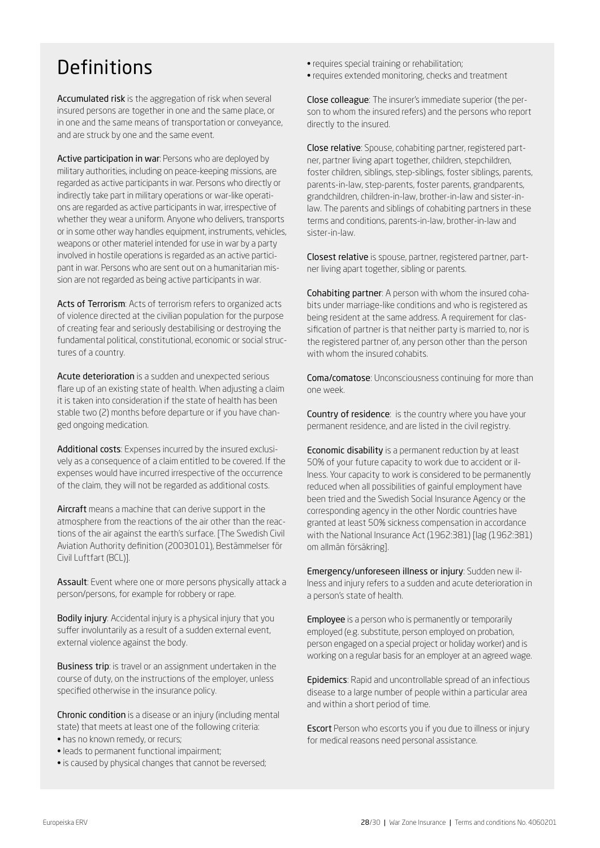## Definitions

Accumulated risk is the aggregation of risk when several insured persons are together in one and the same place, or in one and the same means of transportation or conveyance, and are struck by one and the same event.

Active participation in war: Persons who are deployed by military authorities, including on peace-keeping missions, are regarded as active participants in war. Persons who directly or indirectly take part in military operations or war-like operations are regarded as active participants in war, irrespective of whether they wear a uniform. Anyone who delivers, transports or in some other way handles equipment, instruments, vehicles, weapons or other materiel intended for use in war by a party involved in hostile operations is regarded as an active participant in war. Persons who are sent out on a humanitarian mission are not regarded as being active participants in war.

Acts of Terrorism: Acts of terrorism refers to organized acts of violence directed at the civilian population for the purpose of creating fear and seriously destabilising or destroying the fundamental political, constitutional, economic or social structures of a country.

Acute deterioration is a sudden and unexpected serious flare up of an existing state of health. When adjusting a claim it is taken into consideration if the state of health has been stable two (2) months before departure or if you have changed ongoing medication.

Additional costs: Expenses incurred by the insured exclusively as a consequence of a claim entitled to be covered. If the expenses would have incurred irrespective of the occurrence of the claim, they will not be regarded as additional costs.

Aircraft means a machine that can derive support in the atmosphere from the reactions of the air other than the reactions of the air against the earth's surface. [The Swedish Civil Aviation Authority definition (20030101), Bestämmelser för Civil Luftfart (BCL)].

Assault: Event where one or more persons physically attack a person/persons, for example for robbery or rape.

Bodily injury: Accidental injury is a physical injury that you suffer involuntarily as a result of a sudden external event, external violence against the body.

Business trip: is travel or an assignment undertaken in the course of duty, on the instructions of the employer, unless specified otherwise in the insurance policy.

Chronic condition is a disease or an injury (including mental state) that meets at least one of the following criteria:

- has no known remedy, or recurs;
- leads to permanent functional impairment;
- is caused by physical changes that cannot be reversed;
- requires special training or rehabilitation;
- requires extended monitoring, checks and treatment

Close colleague: The insurer's immediate superior (the person to whom the insured refers) and the persons who report directly to the insured.

Close relative: Spouse, cohabiting partner, registered partner, partner living apart together, children, stepchildren, foster children, siblings, step-siblings, foster siblings, parents, parents-in-law, step-parents, foster parents, grandparents, grandchildren, children-in-law, brother-in-law and sister-inlaw. The parents and siblings of cohabiting partners in these terms and conditions, parents-in-law, brother-in-law and sister-in-law.

Closest relative is spouse, partner, registered partner, partner living apart together, sibling or parents.

Cohabiting partner: A person with whom the insured cohabits under marriage-like conditions and who is registered as being resident at the same address. A requirement for classification of partner is that neither party is married to, nor is the registered partner of, any person other than the person with whom the insured cohabits.

Coma/comatose: Unconsciousness continuing for more than one week.

Country of residence: is the country where you have your permanent residence, and are listed in the civil registry.

Economic disability is a permanent reduction by at least 50% of your future capacity to work due to accident or illness. Your capacity to work is considered to be permanently reduced when all possibilities of gainful employment have been tried and the Swedish Social Insurance Agency or the corresponding agency in the other Nordic countries have granted at least 50% sickness compensation in accordance with the National Insurance Act (1962:381) [lag (1962:381) om allmän försäkring].

Emergency/unforeseen illness or injury: Sudden new illness and injury refers to a sudden and acute deterioration in a person's state of health.

Employee is a person who is permanently or temporarily employed (e.g. substitute, person employed on probation, person engaged on a special project or holiday worker) and is working on a regular basis for an employer at an agreed wage.

Epidemics: Rapid and uncontrollable spread of an infectious disease to a large number of people within a particular area and within a short period of time.

Escort Person who escorts you if you due to illness or injury for medical reasons need personal assistance.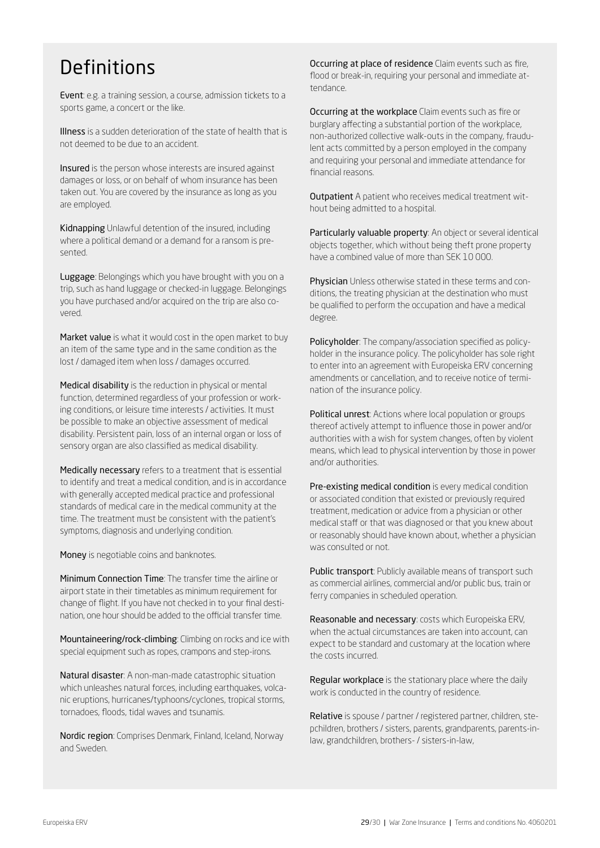## Definitions

Event: e.g. a training session, a course, admission tickets to a sports game, a concert or the like.

Illness is a sudden deterioration of the state of health that is not deemed to be due to an accident.

Insured is the person whose interests are insured against damages or loss, or on behalf of whom insurance has been taken out. You are covered by the insurance as long as you are employed.

Kidnapping Unlawful detention of the insured, including where a political demand or a demand for a ransom is presented.

Luggage: Belongings which you have brought with you on a trip, such as hand luggage or checked-in luggage. Belongings you have purchased and/or acquired on the trip are also covered.

Market value is what it would cost in the open market to buy an item of the same type and in the same condition as the lost / damaged item when loss / damages occurred.

Medical disability is the reduction in physical or mental function, determined regardless of your profession or working conditions, or leisure time interests / activities. It must be possible to make an objective assessment of medical disability. Persistent pain, loss of an internal organ or loss of sensory organ are also classified as medical disability.

Medically necessary refers to a treatment that is essential to identify and treat a medical condition, and is in accordance with generally accepted medical practice and professional standards of medical care in the medical community at the time. The treatment must be consistent with the patient's symptoms, diagnosis and underlying condition.

Money is negotiable coins and banknotes.

Minimum Connection Time: The transfer time the airline or airport state in their timetables as minimum requirement for change of flight. If you have not checked in to your final destination, one hour should be added to the official transfer time.

Mountaineering/rock-climbing: Climbing on rocks and ice with special equipment such as ropes, crampons and step-irons.

Natural disaster: A non-man-made catastrophic situation which unleashes natural forces, including earthquakes, volcanic eruptions, hurricanes/typhoons/cyclones, tropical storms, tornadoes, floods, tidal waves and tsunamis.

Nordic region: Comprises Denmark, Finland, Iceland, Norway and Sweden.

Occurring at place of residence Claim events such as fire, flood or break-in, requiring your personal and immediate attendance.

Occurring at the workplace Claim events such as fire or burglary affecting a substantial portion of the workplace, non-authorized collective walk-outs in the company, fraudulent acts committed by a person employed in the company and requiring your personal and immediate attendance for financial reasons.

Outpatient A patient who receives medical treatment without being admitted to a hospital.

Particularly valuable property: An object or several identical objects together, which without being theft prone property have a combined value of more than SEK 10 000.

Physician Unless otherwise stated in these terms and conditions, the treating physician at the destination who must be qualified to perform the occupation and have a medical degree.

Policyholder: The company/association specified as policyholder in the insurance policy. The policyholder has sole right to enter into an agreement with Europeiska ERV concerning amendments or cancellation, and to receive notice of termination of the insurance policy.

Political unrest: Actions where local population or groups thereof actively attempt to influence those in power and/or authorities with a wish for system changes, often by violent means, which lead to physical intervention by those in power and/or authorities.

Pre-existing medical condition is every medical condition or associated condition that existed or previously required treatment, medication or advice from a physician or other medical staff or that was diagnosed or that you knew about or reasonably should have known about, whether a physician was consulted or not.

Public transport: Publicly available means of transport such as commercial airlines, commercial and/or public bus, train or ferry companies in scheduled operation.

Reasonable and necessary: costs which Europeiska ERV, when the actual circumstances are taken into account, can expect to be standard and customary at the location where the costs incurred.

Regular workplace is the stationary place where the daily work is conducted in the country of residence.

Relative is spouse / partner / registered partner, children, stepchildren, brothers / sisters, parents, grandparents, parents-inlaw, grandchildren, brothers- / sisters-in-law,